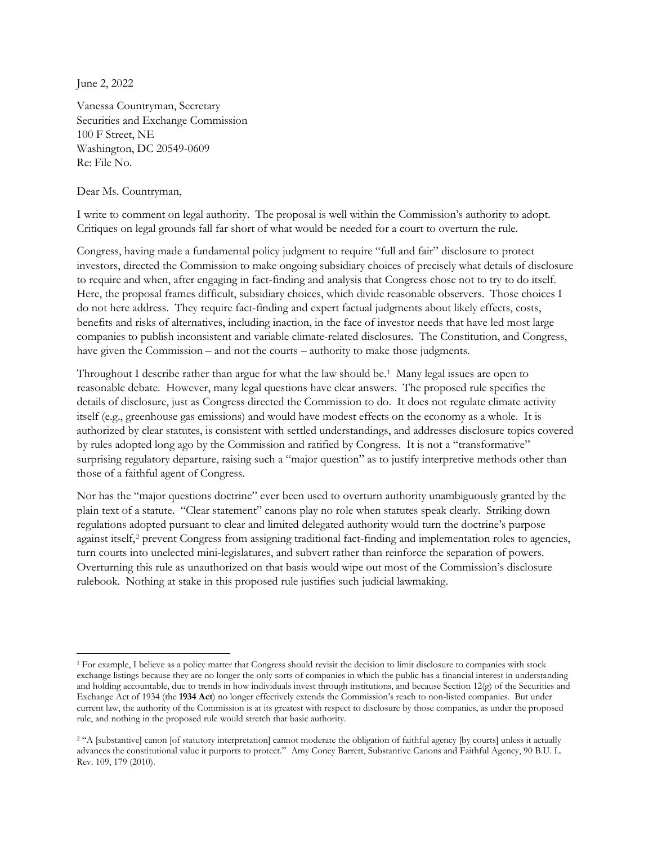June 2, 2022

 $\overline{\phantom{a}}$ 

Vanessa Countryman, Secretary Securities and Exchange Commission 100 F Street, NE Washington, DC 20549-0609 Re: File No.

Dear Ms. Countryman,

I write to comment on legal authority. The proposal is well within the Commission's authority to adopt. Critiques on legal grounds fall far short of what would be needed for a court to overturn the rule.

Congress, having made a fundamental policy judgment to require "full and fair" disclosure to protect investors, directed the Commission to make ongoing subsidiary choices of precisely what details of disclosure to require and when, after engaging in fact-finding and analysis that Congress chose not to try to do itself. Here, the proposal frames difficult, subsidiary choices, which divide reasonable observers. Those choices I do not here address. They require fact-finding and expert factual judgments about likely effects, costs, benefits and risks of alternatives, including inaction, in the face of investor needs that have led most large companies to publish inconsistent and variable climate-related disclosures. The Constitution, and Congress, have given the Commission – and not the courts – authority to make those judgments.

Throughout I describe rather than argue for what the law should be.[1](#page-0-0) Many legal issues are open to reasonable debate. However, many legal questions have clear answers. The proposed rule specifies the details of disclosure, just as Congress directed the Commission to do. It does not regulate climate activity itself (e.g., greenhouse gas emissions) and would have modest effects on the economy as a whole. It is authorized by clear statutes, is consistent with settled understandings, and addresses disclosure topics covered by rules adopted long ago by the Commission and ratified by Congress. It is not a "transformative" surprising regulatory departure, raising such a "major question" as to justify interpretive methods other than those of a faithful agent of Congress.

Nor has the "major questions doctrine" ever been used to overturn authority unambiguously granted by the plain text of a statute. "Clear statement" canons play no role when statutes speak clearly. Striking down regulations adopted pursuant to clear and limited delegated authority would turn the doctrine's purpose against itself,<sup>[2](#page-0-1)</sup> prevent Congress from assigning traditional fact-finding and implementation roles to agencies, turn courts into unelected mini-legislatures, and subvert rather than reinforce the separation of powers. Overturning this rule as unauthorized on that basis would wipe out most of the Commission's disclosure rulebook. Nothing at stake in this proposed rule justifies such judicial lawmaking.

<span id="page-0-0"></span><sup>1</sup> For example, I believe as a policy matter that Congress should revisit the decision to limit disclosure to companies with stock exchange listings because they are no longer the only sorts of companies in which the public has a financial interest in understanding and holding accountable, due to trends in how individuals invest through institutions, and because Section 12(g) of the Securities and Exchange Act of 1934 (the **1934 Act**) no longer effectively extends the Commission's reach to non-listed companies. But under current law, the authority of the Commission is at its greatest with respect to disclosure by those companies, as under the proposed rule, and nothing in the proposed rule would stretch that basic authority.

<span id="page-0-1"></span><sup>&</sup>lt;sup>2</sup> "A [substantive] canon [of statutory interpretation] cannot moderate the obligation of faithful agency [by courts] unless it actually advances the constitutional value it purports to protect." Amy Coney Barrett, Substantive Canons and Faithful Agency, 90 B.U. L. Rev. 109, 179 (2010).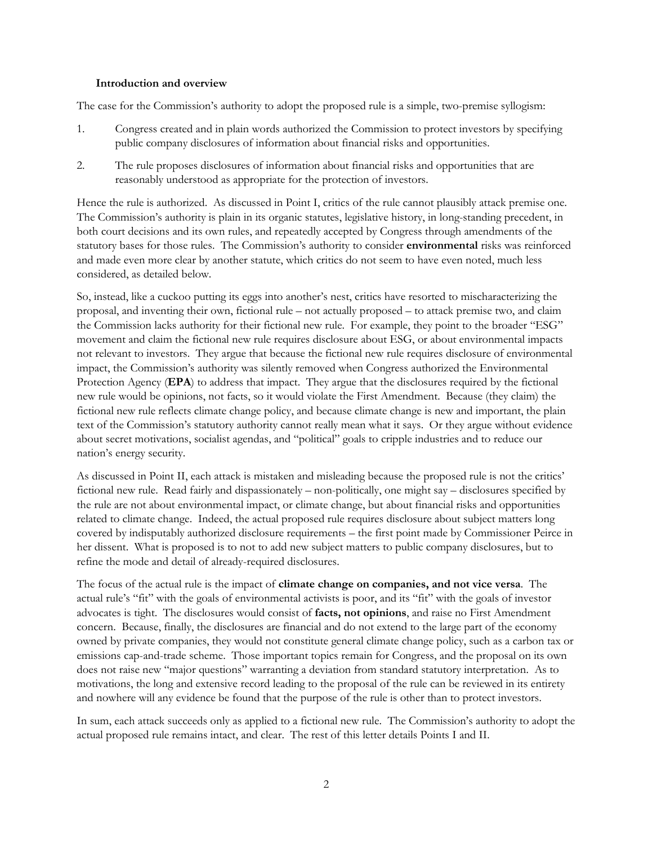#### **Introduction and overview**

The case for the Commission's authority to adopt the proposed rule is a simple, two-premise syllogism:

- 1. Congress created and in plain words authorized the Commission to protect investors by specifying public company disclosures of information about financial risks and opportunities.
- 2. The rule proposes disclosures of information about financial risks and opportunities that are reasonably understood as appropriate for the protection of investors.

Hence the rule is authorized. As discussed in Point I, critics of the rule cannot plausibly attack premise one. The Commission's authority is plain in its organic statutes, legislative history, in long-standing precedent, in both court decisions and its own rules, and repeatedly accepted by Congress through amendments of the statutory bases for those rules. The Commission's authority to consider **environmental** risks was reinforced and made even more clear by another statute, which critics do not seem to have even noted, much less considered, as detailed below.

So, instead, like a cuckoo putting its eggs into another's nest, critics have resorted to mischaracterizing the proposal, and inventing their own, fictional rule – not actually proposed – to attack premise two, and claim the Commission lacks authority for their fictional new rule. For example, they point to the broader "ESG" movement and claim the fictional new rule requires disclosure about ESG, or about environmental impacts not relevant to investors. They argue that because the fictional new rule requires disclosure of environmental impact, the Commission's authority was silently removed when Congress authorized the Environmental Protection Agency (**EPA**) to address that impact. They argue that the disclosures required by the fictional new rule would be opinions, not facts, so it would violate the First Amendment. Because (they claim) the fictional new rule reflects climate change policy, and because climate change is new and important, the plain text of the Commission's statutory authority cannot really mean what it says. Or they argue without evidence about secret motivations, socialist agendas, and "political" goals to cripple industries and to reduce our nation's energy security.

As discussed in Point II, each attack is mistaken and misleading because the proposed rule is not the critics' fictional new rule. Read fairly and dispassionately – non-politically, one might say – disclosures specified by the rule are not about environmental impact, or climate change, but about financial risks and opportunities related to climate change. Indeed, the actual proposed rule requires disclosure about subject matters long covered by indisputably authorized disclosure requirements – the first point made by Commissioner Peirce in her dissent. What is proposed is to not to add new subject matters to public company disclosures, but to refine the mode and detail of already-required disclosures.

The focus of the actual rule is the impact of **climate change on companies, and not vice versa**. The actual rule's "fit" with the goals of environmental activists is poor, and its "fit" with the goals of investor advocates is tight. The disclosures would consist of **facts, not opinions**, and raise no First Amendment concern. Because, finally, the disclosures are financial and do not extend to the large part of the economy owned by private companies, they would not constitute general climate change policy, such as a carbon tax or emissions cap-and-trade scheme. Those important topics remain for Congress, and the proposal on its own does not raise new "major questions" warranting a deviation from standard statutory interpretation. As to motivations, the long and extensive record leading to the proposal of the rule can be reviewed in its entirety and nowhere will any evidence be found that the purpose of the rule is other than to protect investors.

In sum, each attack succeeds only as applied to a fictional new rule. The Commission's authority to adopt the actual proposed rule remains intact, and clear. The rest of this letter details Points I and II.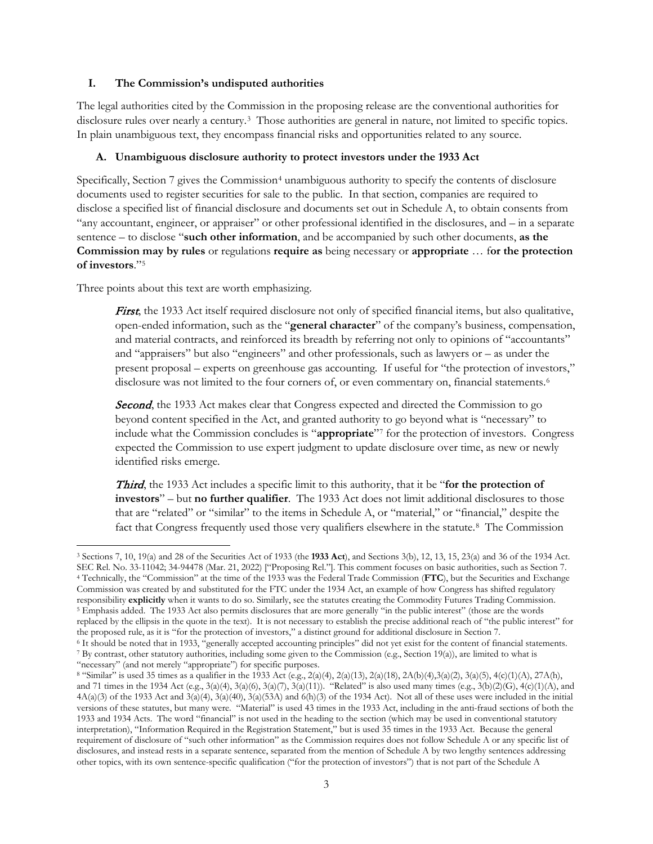### **I. The Commission's undisputed authorities**

The legal authorities cited by the Commission in the proposing release are the conventional authorities for disclosure rules over nearly a century.<sup>[3](#page-2-0)</sup> Those authorities are general in nature, not limited to specific topics. In plain unambiguous text, they encompass financial risks and opportunities related to any source.

### **A. Unambiguous disclosure authority to protect investors under the 1933 Act**

Specifically, Section 7 gives the Commission<sup>[4](#page-2-1)</sup> unambiguous authority to specify the contents of disclosure documents used to register securities for sale to the public. In that section, companies are required to disclose a specified list of financial disclosure and documents set out in Schedule A, to obtain consents from "any accountant, engineer, or appraiser" or other professional identified in the disclosures, and – in a separate sentence – to disclose "**such other information**, and be accompanied by such other documents, **as the Commission may by rules** or regulations **require as** being necessary or **appropriate** … f**or the protection of investors**."[5](#page-2-2)

Three points about this text are worth emphasizing.

 $\overline{\phantom{a}}$ 

First, the 1933 Act itself required disclosure not only of specified financial items, but also qualitative, open-ended information, such as the "**general character**" of the company's business, compensation, and material contracts, and reinforced its breadth by referring not only to opinions of "accountants" and "appraisers" but also "engineers" and other professionals, such as lawyers or – as under the present proposal – experts on greenhouse gas accounting. If useful for "the protection of investors," disclosure was not limited to the four corners of, or even commentary on, financial statements.<sup>6</sup>

Second, the 1933 Act makes clear that Congress expected and directed the Commission to go beyond content specified in the Act, and granted authority to go beyond what is "necessary" to include what the Commission concludes is "**appropriate**"[7](#page-2-4) for the protection of investors. Congress expected the Commission to use expert judgment to update disclosure over time, as new or newly identified risks emerge.

Third, the 1933 Act includes a specific limit to this authority, that it be "**for the protection of investors**" – but **no further qualifier**. The 1933 Act does not limit additional disclosures to those that are "related" or "similar" to the items in Schedule A, or "material," or "financial," despite the fact that Congress frequently used those very qualifiers elsewhere in the statute.<sup>[8](#page-2-5)</sup> The Commission

<span id="page-2-1"></span><span id="page-2-0"></span><sup>3</sup> Sections 7, 10, 19(a) and 28 of the Securities Act of 1933 (the **1933 Act**), and Sections 3(b), 12, 13, 15, 23(a) and 36 of the 1934 Act. <sup>4</sup> Technically, the "Commission" at the time of the 1933 was the Federal Trade Commission (FTC), but the Securities and Exchange Commission was created by and substituted for the FTC under the 1934 Act, an example of how Congress has shifted regulatory responsibility **explicitly** when it wants to do so. Similarly, see the statutes creating the Commodity Futures Trading Commission. <sup>5</sup> Emphasis added. The 1933 Act also permits disclosures that are more generally "in the public interest" (those are the words replaced by the ellipsis in the quote in the text). It is not necessary to establish the precise additional reach of "the public interest" for the proposed rule, as it is "for the protection of investors," a distinct groun

<span id="page-2-4"></span><span id="page-2-3"></span><span id="page-2-2"></span><sup>&</sup>lt;sup>6</sup> It should be noted that in 1933, "generally accepted accounting principles" did not yet exist for the content of financial statements. <sup>7</sup> By contrast, other statutory authorities, including some given to the Commission (e.g., Section 19(a)), are limited to what is "necessary" (and not merely "appropriate") for specific purposes.

<span id="page-2-5"></span><sup>&</sup>lt;sup>8</sup> "Similar" is used 35 times as a qualifier in the 1933 Act (e.g., 2(a)(4), 2(a)(13), 2(a)(18), 2A(b)(4),3(a)(2), 3(a)(5), 4(c)(1)(A), 27A(h), and 71 times in the 1934 Act (e.g., 3(a)(4), 3(a)(6), 3(a)(7), 3(a)(11)). "Related" is also used many times (e.g., 3(b)(2)(G), 4(c)(1)(A), and  $4A(a)(3)$  of the 1933 Act and  $3(a)(4)$ ,  $3(a)(40)$ ,  $3(a)(53A)$  and  $6(h)(3)$  of the 1934 Act). Not all of these uses were included in the initial versions of these statutes, but many were. "Material" is used 43 times in the 1933 Act, including in the anti-fraud sections of both the 1933 and 1934 Acts. The word "financial" is not used in the heading to the section (which may be used in conventional statutory interpretation), "Information Required in the Registration Statement," but is used 35 times in the 1933 Act. Because the general requirement of disclosure of "such other information" as the Commission requires does not follow Schedule A or any specific list of disclosures, and instead rests in a separate sentence, separated from the mention of Schedule A by two lengthy sentences addressing other topics, with its own sentence-specific qualification ("for the protection of investors") that is not part of the Schedule A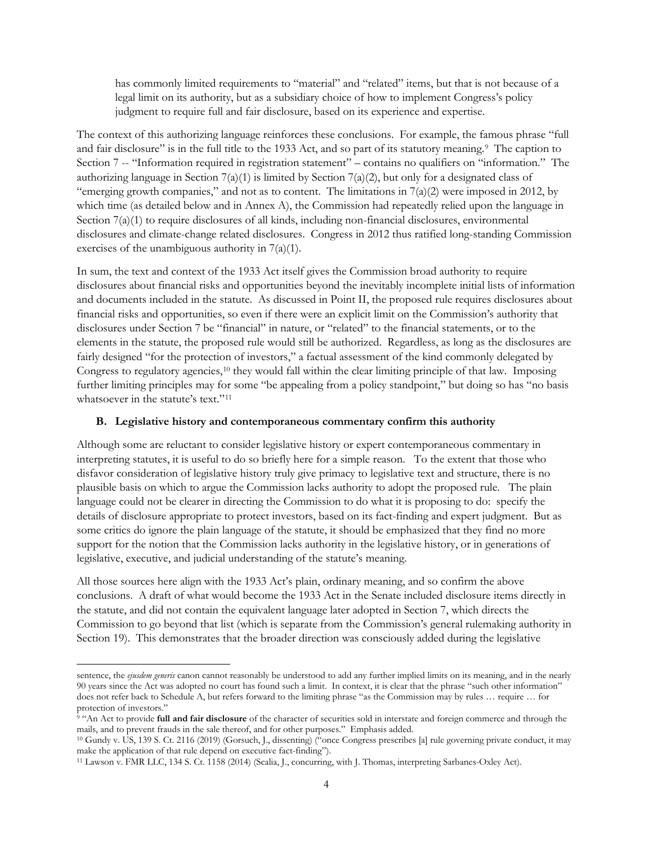has commonly limited requirements to "material" and "related" items, but that is not because of a legal limit on its authority, but as a subsidiary choice of how to implement Congress's policy judgment to require full and fair disclosure, based on its experience and expertise.

The context of this authorizing language reinforces these conclusions. For example, the famous phrase "full and fair disclosure" is in the full title to the 1[9](#page-3-0)33 Act, and so part of its statutory meaning.<sup>9</sup> The caption to Section 7 -- "Information required in registration statement" – contains no qualifiers on "information." The authorizing language in Section 7(a)(1) is limited by Section 7(a)(2), but only for a designated class of "emerging growth companies," and not as to content. The limitations in  $7(a)(2)$  were imposed in 2012, by which time (as detailed below and in Annex A), the Commission had repeatedly relied upon the language in Section 7(a)(1) to require disclosures of all kinds, including non-financial disclosures, environmental disclosures and climate-change related disclosures. Congress in 2012 thus ratified long-standing Commission exercises of the unambiguous authority in 7(a)(1).

In sum, the text and context of the 1933 Act itself gives the Commission broad authority to require disclosures about financial risks and opportunities beyond the inevitably incomplete initial lists of information and documents included in the statute. As discussed in Point II, the proposed rule requires disclosures about financial risks and opportunities, so even if there were an explicit limit on the Commission's authority that disclosures under Section 7 be "financial" in nature, or "related" to the financial statements, or to the elements in the statute, the proposed rule would still be authorized. Regardless, as long as the disclosures are fairly designed "for the protection of investors," a factual assessment of the kind commonly delegated by Congress to regulatory agencies,<sup>[10](#page-3-1)</sup> they would fall within the clear limiting principle of that law. Imposing further limiting principles may for some "be appealing from a policy standpoint," but doing so has "no basis whatsoever in the statute's text."<sup>[11](#page-3-2)</sup>

#### **B. Legislative history and contemporaneous commentary confirm this authority**

Although some are reluctant to consider legislative history or expert contemporaneous commentary in interpreting statutes, it is useful to do so briefly here for a simple reason. To the extent that those who disfavor consideration of legislative history truly give primacy to legislative text and structure, there is no plausible basis on which to argue the Commission lacks authority to adopt the proposed rule. The plain language could not be clearer in directing the Commission to do what it is proposing to do: specify the details of disclosure appropriate to protect investors, based on its fact-finding and expert judgment. But as some critics do ignore the plain language of the statute, it should be emphasized that they find no more support for the notion that the Commission lacks authority in the legislative history, or in generations of legislative, executive, and judicial understanding of the statute's meaning.

All those sources here align with the 1933 Act's plain, ordinary meaning, and so confirm the above conclusions. A draft of what would become the 1933 Act in the Senate included disclosure items directly in the statute, and did not contain the equivalent language later adopted in Section 7, which directs the Commission to go beyond that list (which is separate from the Commission's general rulemaking authority in Section 19). This demonstrates that the broader direction was consciously added during the legislative

sentence, the *ejusdem generis* canon cannot reasonably be understood to add any further implied limits on its meaning, and in the nearly 90 years since the Act was adopted no court has found such a limit. In context, it is clear that the phrase "such other information" does not refer back to Schedule A, but refers forward to the limiting phrase "as the Commission may by rules … require … for protection of investors."

<span id="page-3-0"></span><sup>&</sup>lt;sup>9</sup> "An Act to provide **full and fair disclosure** of the character of securities sold in interstate and foreign commerce and through the mails, and to prevent frauds in the sale thereof, and for other purposes." Emphasis added.

<span id="page-3-1"></span><sup>10</sup> Gundy v. US, 139 S. Ct. 2116 (2019) (Gorsuch, J., dissenting) ("once Congress prescribes [a] rule governing private conduct, it may make the application of that rule depend on executive fact-finding").

<span id="page-3-2"></span><sup>11</sup> Lawson v. FMR LLC, 134 S. Ct. 1158 (2014) (Scalia, J., concurring, with J. Thomas, interpreting Sarbanes-Oxley Act).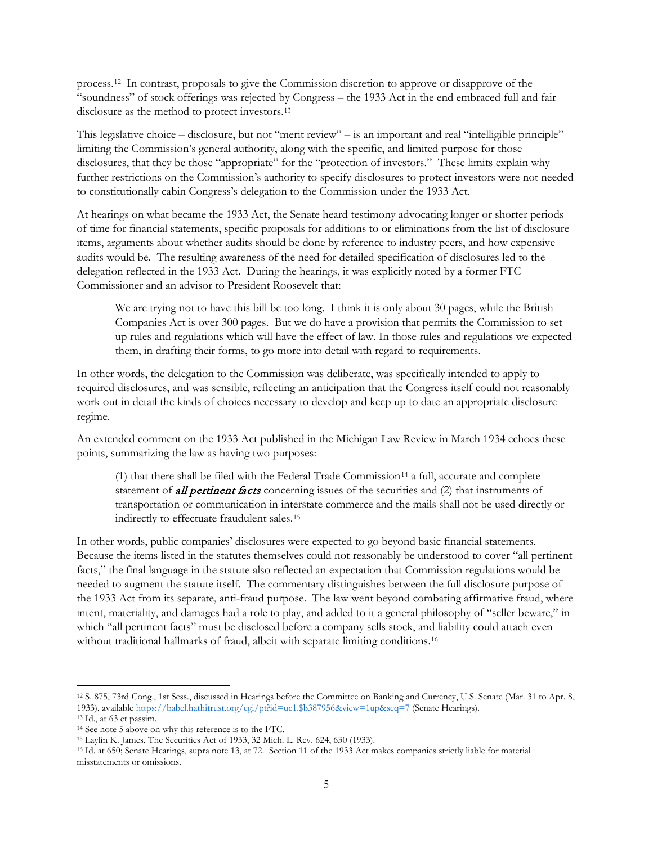process.[12](#page-4-0) In contrast, proposals to give the Commission discretion to approve or disapprove of the "soundness" of stock offerings was rejected by Congress – the 1933 Act in the end embraced full and fair disclosure as the method to protect investors[.13](#page-4-1) 

This legislative choice – disclosure, but not "merit review" – is an important and real "intelligible principle" limiting the Commission's general authority, along with the specific, and limited purpose for those disclosures, that they be those "appropriate" for the "protection of investors." These limits explain why further restrictions on the Commission's authority to specify disclosures to protect investors were not needed to constitutionally cabin Congress's delegation to the Commission under the 1933 Act.

At hearings on what became the 1933 Act, the Senate heard testimony advocating longer or shorter periods of time for financial statements, specific proposals for additions to or eliminations from the list of disclosure items, arguments about whether audits should be done by reference to industry peers, and how expensive audits would be. The resulting awareness of the need for detailed specification of disclosures led to the delegation reflected in the 1933 Act. During the hearings, it was explicitly noted by a former FTC Commissioner and an advisor to President Roosevelt that:

We are trying not to have this bill be too long. I think it is only about 30 pages, while the British Companies Act is over 300 pages. But we do have a provision that permits the Commission to set up rules and regulations which will have the effect of law. In those rules and regulations we expected them, in drafting their forms, to go more into detail with regard to requirements.

In other words, the delegation to the Commission was deliberate, was specifically intended to apply to required disclosures, and was sensible, reflecting an anticipation that the Congress itself could not reasonably work out in detail the kinds of choices necessary to develop and keep up to date an appropriate disclosure regime.

An extended comment on the 1933 Act published in the Michigan Law Review in March 1934 echoes these points, summarizing the law as having two purposes:

 $(1)$  that there shall be filed with the Federal Trade Commission<sup>[14](#page-4-2)</sup> a full, accurate and complete statement of **all pertinent facts** concerning issues of the securities and (2) that instruments of transportation or communication in interstate commerce and the mails shall not be used directly or indirectly to effectuate fraudulent sales.[15](#page-4-3)

In other words, public companies' disclosures were expected to go beyond basic financial statements. Because the items listed in the statutes themselves could not reasonably be understood to cover "all pertinent facts," the final language in the statute also reflected an expectation that Commission regulations would be needed to augment the statute itself. The commentary distinguishes between the full disclosure purpose of the 1933 Act from its separate, anti-fraud purpose. The law went beyond combating affirmative fraud, where intent, materiality, and damages had a role to play, and added to it a general philosophy of "seller beware," in which "all pertinent facts" must be disclosed before a company sells stock, and liability could attach even without traditional hallmarks of fraud, albeit with separate limiting conditions.<sup>16</sup>

l

<span id="page-4-0"></span><sup>12</sup> S. 875, 73rd Cong., 1st Sess., discussed in Hearings before the Committee on Banking and Currency, U.S. Senate (Mar. 31 to Apr. 8, 1933), availabl[e https://babel.hathitrust.org/cgi/pt?id=uc1.\\$b387956&view=1up&seq=7](https://babel.hathitrust.org/cgi/pt?id=uc1.$b387956&view=1up&seq=7) (Senate Hearings).

<span id="page-4-1"></span><sup>13</sup> Id., at 63 et passim.

<span id="page-4-2"></span><sup>14</sup> See note 5 above on why this reference is to the FTC.

<span id="page-4-3"></span><sup>15</sup> Laylin K. James, The Securities Act of 1933, 32 Mich. L. Rev. 624, 630 (1933).

<span id="page-4-4"></span><sup>16</sup> Id. at 650; Senate Hearings, supra note 13, at 72. Section 11 of the 1933 Act makes companies strictly liable for material misstatements or omissions.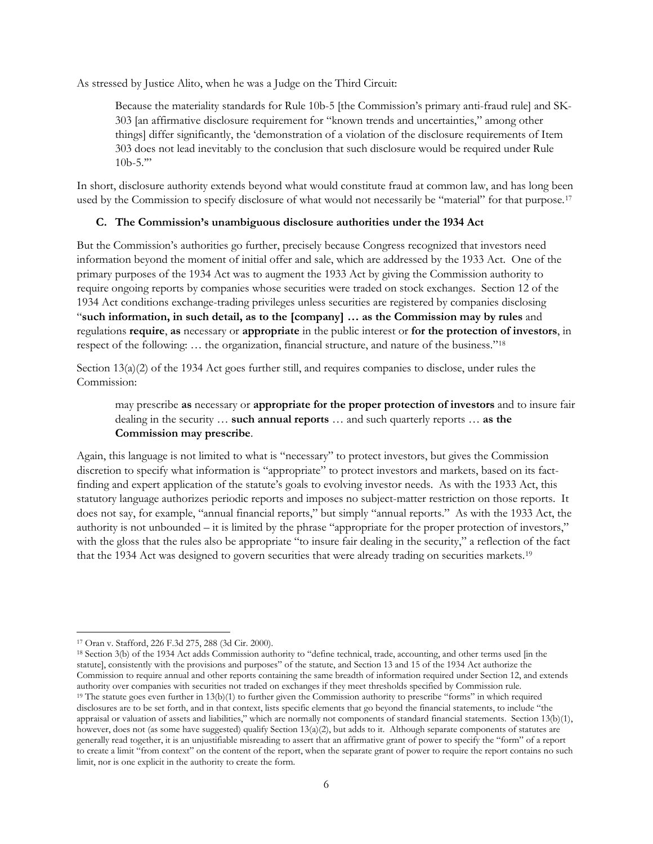As stressed by Justice Alito, when he was a Judge on the Third Circuit:

Because the materiality standards for Rule 10b-5 [the Commission's primary anti-fraud rule] and SK-303 [an affirmative disclosure requirement for "known trends and uncertainties," among other things] differ significantly, the 'demonstration of a violation of the disclosure requirements of Item 303 does not lead inevitably to the conclusion that such disclosure would be required under Rule  $10b-5."$ 

In short, disclosure authority extends beyond what would constitute fraud at common law, and has long been used by the Commission to specify disclosure of what would not necessarily be "material" for that purpose.<sup>[17](#page-5-0)</sup>

## **C. The Commission's unambiguous disclosure authorities under the 1934 Act**

But the Commission's authorities go further, precisely because Congress recognized that investors need information beyond the moment of initial offer and sale, which are addressed by the 1933 Act. One of the primary purposes of the 1934 Act was to augment the 1933 Act by giving the Commission authority to require ongoing reports by companies whose securities were traded on stock exchanges. Section 12 of the 1934 Act conditions exchange-trading privileges unless securities are registered by companies disclosing "**such information, in such detail, as to the [company] … as the Commission may by rules** and regulations **require**, **as** necessary or **appropriate** in the public interest or **for the protection of investors**, in respect of the following: … the organization, financial structure, and nature of the business."[18](#page-5-1)

Section 13(a)(2) of the 1934 Act goes further still, and requires companies to disclose, under rules the Commission:

may prescribe **as** necessary or **appropriate for the proper protection of investors** and to insure fair dealing in the security … **such annual reports** … and such quarterly reports … **as the Commission may prescribe**.

Again, this language is not limited to what is "necessary" to protect investors, but gives the Commission discretion to specify what information is "appropriate" to protect investors and markets, based on its factfinding and expert application of the statute's goals to evolving investor needs. As with the 1933 Act, this statutory language authorizes periodic reports and imposes no subject-matter restriction on those reports. It does not say, for example, "annual financial reports," but simply "annual reports." As with the 1933 Act, the authority is not unbounded – it is limited by the phrase "appropriate for the proper protection of investors," with the gloss that the rules also be appropriate "to insure fair dealing in the security," a reflection of the fact that the 1934 Act was designed to govern securities that were already trading on securities markets.[19](#page-5-2)

 $\overline{\phantom{a}}$ 

<span id="page-5-2"></span><span id="page-5-1"></span><sup>18</sup> Section 3(b) of the 1934 Act adds Commission authority to "define technical, trade, accounting, and other terms used [in the statute], consistently with the provisions and purposes" of the statute, and Section 13 and 15 of the 1934 Act authorize the Commission to require annual and other reports containing the same breadth of information required under Section 12, and extends authority over companies with securities not traded on exchanges if they meet thresholds specified by Commission rule. <sup>19</sup> The statute goes even further in 13(b)(1) to further given the Commission authority to prescribe "forms" in which required disclosures are to be set forth, and in that context, lists specific elements that go beyond the financial statements, to include "the appraisal or valuation of assets and liabilities," which are normally not components of standard financial statements. Section 13(b)(1), however, does not (as some have suggested) qualify Section 13(a)(2), but adds to it. Although separate components of statutes are generally read together, it is an unjustifiable misreading to assert that an affirmative grant of power to specify the "form" of a report to create a limit "from context" on the content of the report, when the separate grant of power to require the report contains no such limit, nor is one explicit in the authority to create the form.

<span id="page-5-0"></span><sup>17</sup> Oran v. Stafford, 226 F.3d 275, 288 (3d Cir. 2000).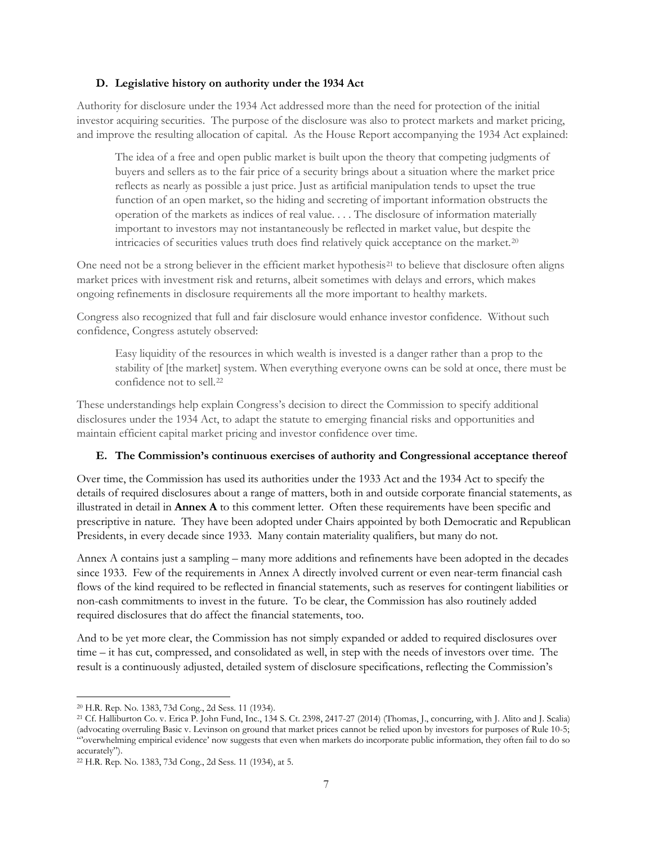### **D. Legislative history on authority under the 1934 Act**

Authority for disclosure under the 1934 Act addressed more than the need for protection of the initial investor acquiring securities. The purpose of the disclosure was also to protect markets and market pricing, and improve the resulting allocation of capital. As the House Report accompanying the 1934 Act explained:

The idea of a free and open public market is built upon the theory that competing judgments of buyers and sellers as to the fair price of a security brings about a situation where the market price reflects as nearly as possible a just price. Just as artificial manipulation tends to upset the true function of an open market, so the hiding and secreting of important information obstructs the operation of the markets as indices of real value. . . . The disclosure of information materially important to investors may not instantaneously be reflected in market value, but despite the intricacies of securities values truth does find relatively quick acceptance on the market.<sup>[20](#page-6-0)</sup>

One need not be a strong believer in the efficient market hypothesis<sup>[21](#page-6-1)</sup> to believe that disclosure often aligns market prices with investment risk and returns, albeit sometimes with delays and errors, which makes ongoing refinements in disclosure requirements all the more important to healthy markets.

Congress also recognized that full and fair disclosure would enhance investor confidence. Without such confidence, Congress astutely observed:

Easy liquidity of the resources in which wealth is invested is a danger rather than a prop to the stability of [the market] system. When everything everyone owns can be sold at once, there must be confidence not to sell.[22](#page-6-2)

These understandings help explain Congress's decision to direct the Commission to specify additional disclosures under the 1934 Act, to adapt the statute to emerging financial risks and opportunities and maintain efficient capital market pricing and investor confidence over time.

## **E. The Commission's continuous exercises of authority and Congressional acceptance thereof**

Over time, the Commission has used its authorities under the 1933 Act and the 1934 Act to specify the details of required disclosures about a range of matters, both in and outside corporate financial statements, as illustrated in detail in **Annex A** to this comment letter. Often these requirements have been specific and prescriptive in nature. They have been adopted under Chairs appointed by both Democratic and Republican Presidents, in every decade since 1933. Many contain materiality qualifiers, but many do not.

Annex A contains just a sampling – many more additions and refinements have been adopted in the decades since 1933. Few of the requirements in Annex A directly involved current or even near-term financial cash flows of the kind required to be reflected in financial statements, such as reserves for contingent liabilities or non-cash commitments to invest in the future. To be clear, the Commission has also routinely added required disclosures that do affect the financial statements, too.

And to be yet more clear, the Commission has not simply expanded or added to required disclosures over time – it has cut, compressed, and consolidated as well, in step with the needs of investors over time. The result is a continuously adjusted, detailed system of disclosure specifications, reflecting the Commission's

 $\overline{\phantom{a}}$ <sup>20</sup> H.R. Rep. No. 1383, 73d Cong., 2d Sess. 11 (1934).

<span id="page-6-1"></span><span id="page-6-0"></span><sup>21</sup> Cf. Halliburton Co. v. Erica P. John Fund, Inc., 134 S. Ct. 2398, 2417-27 (2014) (Thomas, J., concurring, with J. Alito and J. Scalia) (advocating overruling Basic v. Levinson on ground that market prices cannot be relied upon by investors for purposes of Rule 10-5; "'overwhelming empirical evidence' now suggests that even when markets do incorporate public information, they often fail to do so accurately").

<span id="page-6-2"></span><sup>22</sup> H.R. Rep. No. 1383, 73d Cong., 2d Sess. 11 (1934), at 5.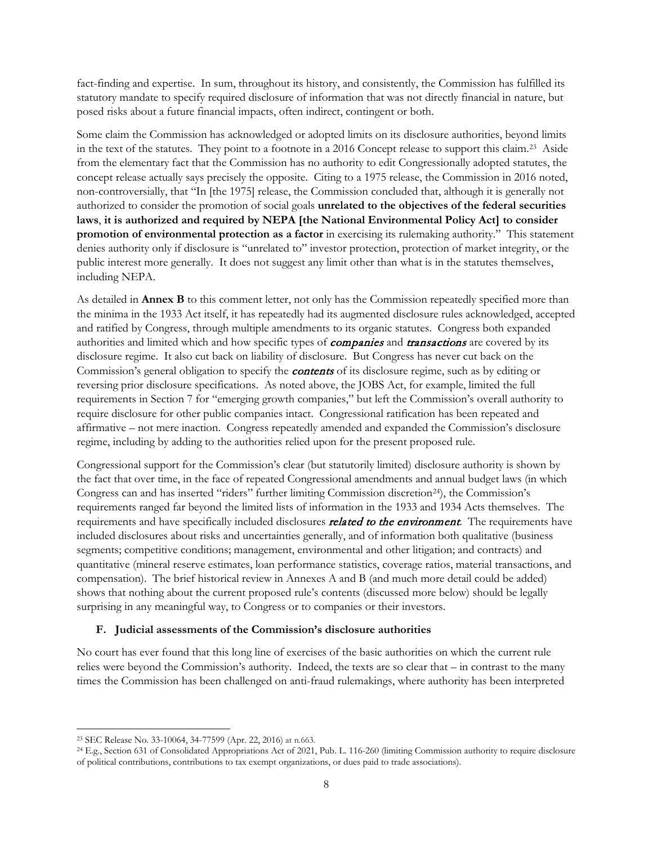fact-finding and expertise. In sum, throughout its history, and consistently, the Commission has fulfilled its statutory mandate to specify required disclosure of information that was not directly financial in nature, but posed risks about a future financial impacts, often indirect, contingent or both.

Some claim the Commission has acknowledged or adopted limits on its disclosure authorities, beyond limits in the text of the statutes. They point to a footnote in a 2016 Concept release to support this claim.[23](#page-7-0) Aside from the elementary fact that the Commission has no authority to edit Congressionally adopted statutes, the concept release actually says precisely the opposite. Citing to a 1975 release, the Commission in 2016 noted, non-controversially, that "In [the 1975] release, the Commission concluded that, although it is generally not authorized to consider the promotion of social goals **unrelated to the objectives of the federal securities laws**, **it is authorized and required by NEPA [the National Environmental Policy Act] to consider promotion of environmental protection as a factor** in exercising its rulemaking authority." This statement denies authority only if disclosure is "unrelated to" investor protection, protection of market integrity, or the public interest more generally. It does not suggest any limit other than what is in the statutes themselves, including NEPA.

As detailed in **Annex B** to this comment letter, not only has the Commission repeatedly specified more than the minima in the 1933 Act itself, it has repeatedly had its augmented disclosure rules acknowledged, accepted and ratified by Congress, through multiple amendments to its organic statutes. Congress both expanded authorities and limited which and how specific types of **companies** and **transactions** are covered by its disclosure regime. It also cut back on liability of disclosure. But Congress has never cut back on the Commission's general obligation to specify the **contents** of its disclosure regime, such as by editing or reversing prior disclosure specifications. As noted above, the JOBS Act, for example, limited the full requirements in Section 7 for "emerging growth companies," but left the Commission's overall authority to require disclosure for other public companies intact. Congressional ratification has been repeated and affirmative – not mere inaction. Congress repeatedly amended and expanded the Commission's disclosure regime, including by adding to the authorities relied upon for the present proposed rule.

Congressional support for the Commission's clear (but statutorily limited) disclosure authority is shown by the fact that over time, in the face of repeated Congressional amendments and annual budget laws (in which Congress can and has inserted "riders" further limiting Commission discretion[24\)](#page-7-1), the Commission's requirements ranged far beyond the limited lists of information in the 1933 and 1934 Acts themselves. The requirements and have specifically included disclosures *related to the environment*. The requirements have included disclosures about risks and uncertainties generally, and of information both qualitative (business segments; competitive conditions; management, environmental and other litigation; and contracts) and quantitative (mineral reserve estimates, loan performance statistics, coverage ratios, material transactions, and compensation). The brief historical review in Annexes A and B (and much more detail could be added) shows that nothing about the current proposed rule's contents (discussed more below) should be legally surprising in any meaningful way, to Congress or to companies or their investors.

#### **F. Judicial assessments of the Commission's disclosure authorities**

No court has ever found that this long line of exercises of the basic authorities on which the current rule relies were beyond the Commission's authority. Indeed, the texts are so clear that – in contrast to the many times the Commission has been challenged on anti-fraud rulemakings, where authority has been interpreted

<span id="page-7-0"></span><sup>23</sup> SEC Release No. 33-10064, 34-77599 (Apr. 22, 2016) at n.663.

<span id="page-7-1"></span><sup>24</sup> E.g., Section 631 of Consolidated Appropriations Act of 2021, Pub. L. 116-260 (limiting Commission authority to require disclosure of political contributions, contributions to tax exempt organizations, or dues paid to trade associations).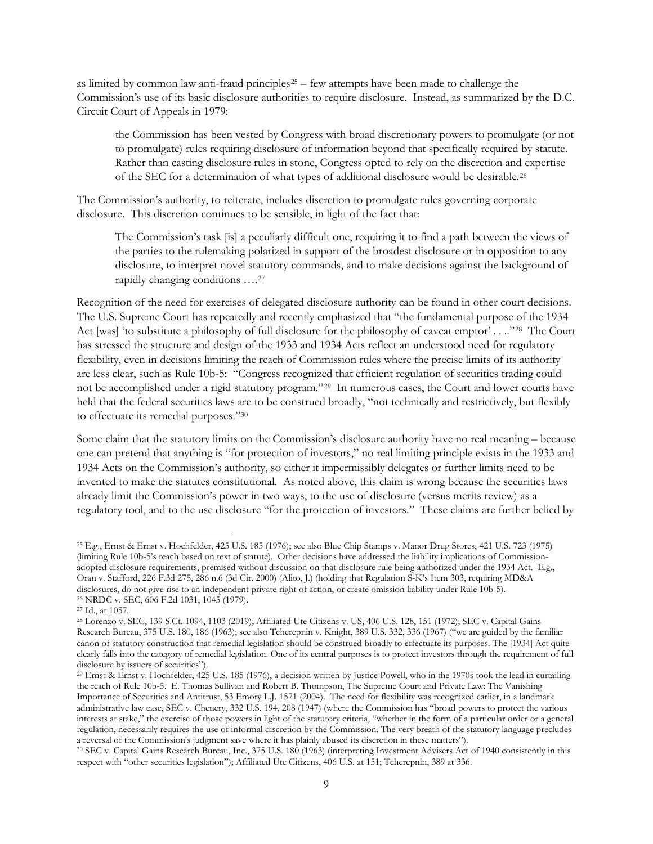as limited by common law anti-fraud principles<sup>[25](#page-8-0)</sup> – few attempts have been made to challenge the Commission's use of its basic disclosure authorities to require disclosure. Instead, as summarized by the D.C. Circuit Court of Appeals in 1979:

the Commission has been vested by Congress with broad discretionary powers to promulgate (or not to promulgate) rules requiring disclosure of information beyond that specifically required by statute. Rather than casting disclosure rules in stone, Congress opted to rely on the discretion and expertise of the SEC for a determination of what types of additional disclosure would be desirable.[26](#page-8-1)

The Commission's authority, to reiterate, includes discretion to promulgate rules governing corporate disclosure. This discretion continues to be sensible, in light of the fact that:

The Commission's task [is] a peculiarly difficult one, requiring it to find a path between the views of the parties to the rulemaking polarized in support of the broadest disclosure or in opposition to any disclosure, to interpret novel statutory commands, and to make decisions against the background of rapidly changing conditions ….[27](#page-8-2)

Recognition of the need for exercises of delegated disclosure authority can be found in other court decisions. The U.S. Supreme Court has repeatedly and recently emphasized that "the fundamental purpose of the 1934 Act [was] 'to substitute a philosophy of full disclosure for the philosophy of caveat emptor' . . .."[28](#page-8-3) The Court has stressed the structure and design of the 1933 and 1934 Acts reflect an understood need for regulatory flexibility, even in decisions limiting the reach of Commission rules where the precise limits of its authority are less clear, such as Rule 10b-5: "Congress recognized that efficient regulation of securities trading could not be accomplished under a rigid statutory program."[29](#page-8-4) In numerous cases, the Court and lower courts have held that the federal securities laws are to be construed broadly, "not technically and restrictively, but flexibly to effectuate its remedial purposes."[30](#page-8-5)

Some claim that the statutory limits on the Commission's disclosure authority have no real meaning – because one can pretend that anything is "for protection of investors," no real limiting principle exists in the 1933 and 1934 Acts on the Commission's authority, so either it impermissibly delegates or further limits need to be invented to make the statutes constitutional. As noted above, this claim is wrong because the securities laws already limit the Commission's power in two ways, to the use of disclosure (versus merits review) as a regulatory tool, and to the use disclosure "for the protection of investors." These claims are further belied by

<span id="page-8-0"></span><sup>25</sup> E.g., Ernst & Ernst v. Hochfelder, 425 U.S. 185 (1976); see also Blue Chip Stamps v. Manor Drug Stores[, 421 U.S. 723 \(1975\)](http://www.westlaw.com/Link/Document/FullText?findType=Y&serNum=1975129803&pubNum=780&originatingDoc=Id45f07d136e511db8382aef8d8e33c97&refType=RP&originationContext=document&vr=3.0&rs=cblt1.0&transitionType=DocumentItem&contextData=(sc.DocLink)) (limiting Rule 10b-5's reach based on text of statute). Other decisions have addressed the liability implications of Commissionadopted disclosure requirements, premised without discussion on that disclosure rule being authorized under the 1934 Act. E.g., Oran v. Stafford, 226 F.3d 275, 286 n.6 (3d Cir. 2000) (Alito, J.) (holding that Regulation S-K's Item 303, requiring MD&A disclosures, do not give rise to an independent private right of action, or create omission liability under Rule 10b-5). <sup>26</sup> NRDC v. SEC, 606 F.2d 1031, 1045 (1979).

<span id="page-8-2"></span><span id="page-8-1"></span><sup>27</sup> Id., at 1057.

<span id="page-8-3"></span><sup>28</sup> Lorenzo v. SEC, 139 S.Ct. 1094, 1103 (2019); Affiliated Ute Citizens v. US, 406 U.S. 128, 151 (1972); SEC v. Capital Gains Research Bureau, 375 U.S. 180, 186 (1963); see also Tcherepnin v. Knight, 389 U.S. 332, 336 (1967) ("we are guided by the familiar canon of statutory construction that remedial legislation should be construed broadly to effectuate its purposes. The [1934] Act quite clearly falls into the category of remedial legislation. One of its central purposes is to protect investors through the requirement of full disclosure by issuers of securities").

<span id="page-8-4"></span><sup>29</sup> Ernst & Ernst v. Hochfelder, 425 U.S. 185 (1976), a decision written by Justice Powell, who in the 1970s took the lead in curtailing the reach of Rule 10b-5. E. Thomas Sullivan and Robert B. Thompson, The Supreme Court and Private Law: The Vanishing Importance of Securities and Antitrust, 53 Emory L.J. 1571 (2004). The need for flexibility was recognized earlier, in a landmark administrative law case, SEC v. Chenery, 332 U.S. 194, 208 (1947) (where the Commission has "broad powers to protect the various interests at stake," the exercise of those powers in light of the statutory criteria, "whether in the form of a particular order or a general regulation, necessarily requires the use of informal discretion by the Commission. The very breath of the statutory language precludes a reversal of the Commission's judgment save where it has plainly abused its discretion in these matters").

<span id="page-8-5"></span><sup>30</sup> SEC v. Capital Gains Research Bureau, Inc., 375 U.S. 180 (1963) (interpreting Investment Advisers Act of 1940 consistently in this respect with "other securities legislation"); Affiliated Ute Citizens, 406 U.S. at 151; Tcherepnin, 389 at 336.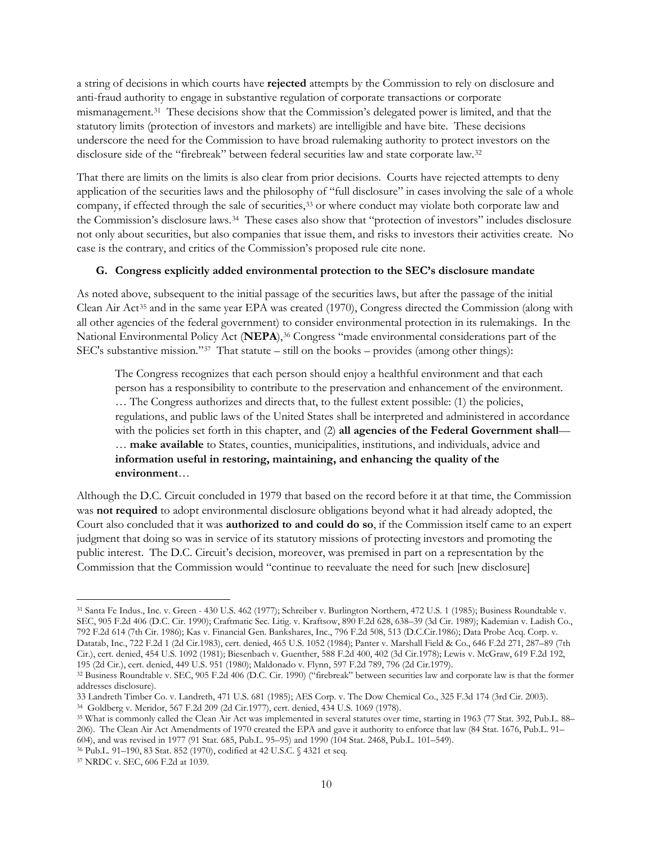a string of decisions in which courts have **rejected** attempts by the Commission to rely on disclosure and anti-fraud authority to engage in substantive regulation of corporate transactions or corporate mismanagement[.31](#page-9-0) These decisions show that the Commission's delegated power is limited, and that the statutory limits (protection of investors and markets) are intelligible and have bite. These decisions underscore the need for the Commission to have broad rulemaking authority to protect investors on the disclosure side of the "firebreak" between federal securities law and state corporate law.[32](#page-9-1)

That there are limits on the limits is also clear from prior decisions. Courts have rejected attempts to deny application of the securities laws and the philosophy of "full disclosure" in cases involving the sale of a whole company, if effected through the sale of securities,[33](#page-9-2) or where conduct may violate both corporate law and the Commission's disclosure laws.[34](#page-9-3) These cases also show that "protection of investors" includes disclosure not only about securities, but also companies that issue them, and risks to investors their activities create. No case is the contrary, and critics of the Commission's proposed rule cite none.

## **G. Congress explicitly added environmental protection to the SEC's disclosure mandate**

As noted above, subsequent to the initial passage of the securities laws, but after the passage of the initial Clean Air Act<sup>[35](#page-9-4)</sup> and in the same year EPA was created (1970), Congress directed the Commission (along with all other agencies of the federal government) to consider environmental protection in its rulemakings. In the National Environmental Policy Act (NEPA),<sup>[36](#page-9-5)</sup> Congress "made environmental considerations part of the SEC's substantive mission."[37](#page-9-6) That statute – still on the books – provides (among other things):

The Congress recognizes that each person should enjoy a healthful environment and that each person has a responsibility to contribute to the preservation and enhancement of the environment. … The Congress authorizes and directs that, to the fullest extent possible: (1) the policies, regulations, and public laws of the United States shall be interpreted and administered in accordance with the policies set forth in this chapter, and (2) **all agencies of the Federal Government shall**— … **make available** to States, counties, municipalities, institutions, and individuals, advice and **information useful in restoring, maintaining, and enhancing the quality of the environment**…

Although the D.C. Circuit concluded in 1979 that based on the record before it at that time, the Commission was **not required** to adopt environmental disclosure obligations beyond what it had already adopted, the Court also concluded that it was **authorized to and could do so**, if the Commission itself came to an expert judgment that doing so was in service of its statutory missions of protecting investors and promoting the public interest. The D.C. Circuit's decision, moreover, was premised in part on a representation by the Commission that the Commission would "continue to reevaluate the need for such [new disclosure]

l

<span id="page-9-0"></span><sup>31</sup> Santa Fe Indus., Inc. v. Green - 430 U.S. 462 (1977); Schreiber v. Burlington Northern, 472 U.S. 1 (1985); Business Roundtable v. SEC, 905 F.2d 406 (D.C. Cir. 1990); [Craftmatic Sec. Litig. v. Kraftsow, 890 F.2d 628, 638–39 \(3d Cir. 1989\);](https://1.next.westlaw.com/Link/Document/FullText?findType=Y&serNum=1989167828&pubNum=0000350&originatingDoc=I9d1f37c03baa11eb84f4f0b41657366a&refType=RP&fi=co_pp_sp_350_638&originationContext=document&transitionType=DocumentItem&ppcid=6aa20fb5dbb0453fb79954fc6c4d1e1b&contextData=(sc.Keycite)#co_pp_sp_350_638) Kademian v. Ladish Co., 792 F.2d 614 (7th Cir. 1986); Kas v. Financial Gen. Bankshares, Inc., 796 F.2d 508, 513 (D.C.Cir.1986); Data Probe Acq. Corp. v. Datatab, Inc., 722 F.2d 1 (2d Cir.1983), cert. denied, 465 U.S. 1052 (1984); Panter v. Marshall Field & Co., 646 F.2d 271, 287–89 (7th Cir.), cert. denied, 454 U.S. 1092 (1981); Biesenbach v. Guenther, 588 F.2d 400, 402 (3d Cir.1978); Lewis v. McGraw, 619 F.2d 192, 195 (2d Cir.), cert. denied, 449 U.S. 951 (1980); Maldonado v. Flynn, 597 F.2d 789, 796 (2d Cir.1979).

<span id="page-9-1"></span><sup>32</sup> Business Roundtable v. SEC, 905 F.2d 406 (D.C. Cir. 1990) ("firebreak" between securities law and corporate law is that the former addresses disclosure).

<span id="page-9-2"></span><sup>33</sup> Landreth Timber Co. v. Landreth, 471 U.S. 681 (1985); AES Corp. v. The Dow Chemical Co., 325 F.3d 174 (3rd Cir. 2003).

<span id="page-9-3"></span>

<span id="page-9-4"></span><sup>&</sup>lt;sup>35</sup> What is commonly called the Clean Air Act was implemented in several statutes over time, starting in 1963 (77 Stat. 392, Pub.L. 88– 206). The Clean Air Act Amendments of 1970 created the EPA and gave it authority to enforce that law (84 Stat. 1676, Pub.L. 91– 604), and was revised in 1977 (91 Stat. 685, Pub.L. 95–95) and 1990 (104 Stat. 2468, Pub.L. 101–549).

<span id="page-9-6"></span><span id="page-9-5"></span><sup>36</sup> Pub.L. 91–190, 83 Stat. 852 (1970), codified at 42 U.S.C. § 4321 et seq. 37 NRDC v. SEC, 606 F.2d at 1039.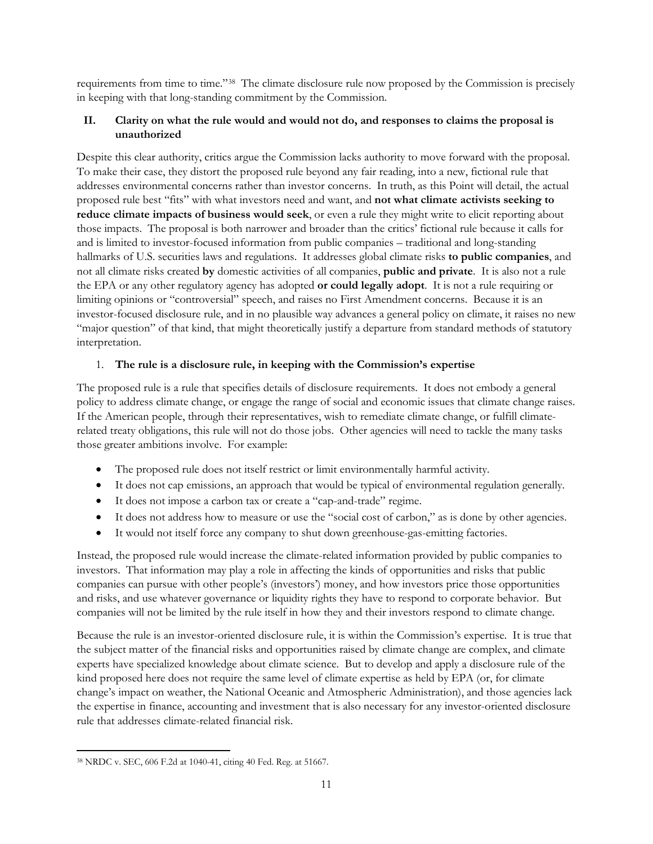requirements from time to time."[38](#page-10-0) The climate disclosure rule now proposed by the Commission is precisely in keeping with that long-standing commitment by the Commission.

# **II. Clarity on what the rule would and would not do, and responses to claims the proposal is unauthorized**

Despite this clear authority, critics argue the Commission lacks authority to move forward with the proposal. To make their case, they distort the proposed rule beyond any fair reading, into a new, fictional rule that addresses environmental concerns rather than investor concerns. In truth, as this Point will detail, the actual proposed rule best "fits" with what investors need and want, and **not what climate activists seeking to reduce climate impacts of business would seek**, or even a rule they might write to elicit reporting about those impacts. The proposal is both narrower and broader than the critics' fictional rule because it calls for and is limited to investor-focused information from public companies – traditional and long-standing hallmarks of U.S. securities laws and regulations. It addresses global climate risks **to public companies**, and not all climate risks created **by** domestic activities of all companies, **public and private**. It is also not a rule the EPA or any other regulatory agency has adopted **or could legally adopt**. It is not a rule requiring or limiting opinions or "controversial" speech, and raises no First Amendment concerns. Because it is an investor-focused disclosure rule, and in no plausible way advances a general policy on climate, it raises no new "major question" of that kind, that might theoretically justify a departure from standard methods of statutory interpretation.

## 1. **The rule is a disclosure rule, in keeping with the Commission's expertise**

The proposed rule is a rule that specifies details of disclosure requirements. It does not embody a general policy to address climate change, or engage the range of social and economic issues that climate change raises. If the American people, through their representatives, wish to remediate climate change, or fulfill climaterelated treaty obligations, this rule will not do those jobs. Other agencies will need to tackle the many tasks those greater ambitions involve. For example:

- The proposed rule does not itself restrict or limit environmentally harmful activity.
- It does not cap emissions, an approach that would be typical of environmental regulation generally.
- It does not impose a carbon tax or create a "cap-and-trade" regime.
- It does not address how to measure or use the "social cost of carbon," as is done by other agencies.
- It would not itself force any company to shut down greenhouse-gas-emitting factories.

Instead, the proposed rule would increase the climate-related information provided by public companies to investors. That information may play a role in affecting the kinds of opportunities and risks that public companies can pursue with other people's (investors') money, and how investors price those opportunities and risks, and use whatever governance or liquidity rights they have to respond to corporate behavior. But companies will not be limited by the rule itself in how they and their investors respond to climate change.

Because the rule is an investor-oriented disclosure rule, it is within the Commission's expertise. It is true that the subject matter of the financial risks and opportunities raised by climate change are complex, and climate experts have specialized knowledge about climate science. But to develop and apply a disclosure rule of the kind proposed here does not require the same level of climate expertise as held by EPA (or, for climate change's impact on weather, the National Oceanic and Atmospheric Administration), and those agencies lack the expertise in finance, accounting and investment that is also necessary for any investor-oriented disclosure rule that addresses climate-related financial risk.

<span id="page-10-0"></span> $\overline{\phantom{a}}$ <sup>38</sup> NRDC v. SEC, 606 F.2d at 1040-41, citing 40 Fed. Reg. at 51667.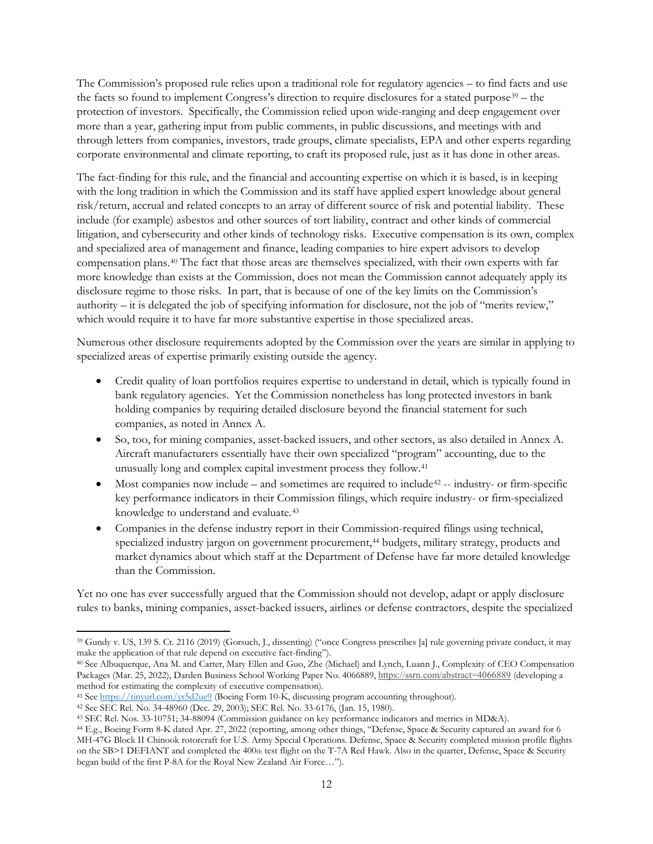The Commission's proposed rule relies upon a traditional role for regulatory agencies – to find facts and use the facts so found to implement Congress's direction to require disclosures for a stated purpose[39](#page-11-0) – the protection of investors. Specifically, the Commission relied upon wide-ranging and deep engagement over more than a year, gathering input from public comments, in public discussions, and meetings with and through letters from companies, investors, trade groups, climate specialists, EPA and other experts regarding corporate environmental and climate reporting, to craft its proposed rule, just as it has done in other areas.

The fact-finding for this rule, and the financial and accounting expertise on which it is based, is in keeping with the long tradition in which the Commission and its staff have applied expert knowledge about general risk/return, accrual and related concepts to an array of different source of risk and potential liability. These include (for example) asbestos and other sources of tort liability, contract and other kinds of commercial litigation, and cybersecurity and other kinds of technology risks. Executive compensation is its own, complex and specialized area of management and finance, leading companies to hire expert advisors to develop compensation plans.[40](#page-11-1) The fact that those areas are themselves specialized, with their own experts with far more knowledge than exists at the Commission, does not mean the Commission cannot adequately apply its disclosure regime to those risks. In part, that is because of one of the key limits on the Commission's authority – it is delegated the job of specifying information for disclosure, not the job of "merits review," which would require it to have far more substantive expertise in those specialized areas.

Numerous other disclosure requirements adopted by the Commission over the years are similar in applying to specialized areas of expertise primarily existing outside the agency.

- Credit quality of loan portfolios requires expertise to understand in detail, which is typically found in bank regulatory agencies. Yet the Commission nonetheless has long protected investors in bank holding companies by requiring detailed disclosure beyond the financial statement for such companies, as noted in Annex A.
- So, too, for mining companies, asset-backed issuers, and other sectors, as also detailed in Annex A. Aircraft manufacturers essentially have their own specialized "program" accounting, due to the unusually long and complex capital investment process they follow.[41](#page-11-2)
- Most companies now include and sometimes are required to include<sup>[42](#page-11-3)</sup> -- industry- or firm-specific key performance indicators in their Commission filings, which require industry- or firm-specialized knowledge to understand and evaluate.[43](#page-11-4)
- Companies in the defense industry report in their Commission-required filings using technical, specialized industry jargon on government procurement,<sup>[44](#page-11-5)</sup> budgets, military strategy, products and market dynamics about which staff at the Department of Defense have far more detailed knowledge than the Commission.

Yet no one has ever successfully argued that the Commission should not develop, adapt or apply disclosure rules to banks, mining companies, asset-backed issuers, airlines or defense contractors, despite the specialized

 $\overline{a}$ 

<span id="page-11-0"></span><sup>39</sup> Gundy v. US, 139 S. Ct. 2116 (2019) (Gorsuch, J., dissenting) ("once Congress prescribes [a] rule governing private conduct, it may make the application of that rule depend on executive fact-finding").

<span id="page-11-1"></span><sup>40</sup> See Albuquerque, Ana M. and Carter, Mary Ellen and Guo, Zhe (Michael) and Lynch, Luann J., Complexity of CEO Compensation Packages (Mar. 25, 2022), Darden Business School Working Paper No. 4066889, <https://ssrn.com/abstract=4066889> (developing a method for estimating the complexity of executive compensation).<br><sup>41</sup> See https://tinyurl.com/yr5d2ue9 (Boeing Form 10-K, discussing program accounting throughout).

<span id="page-11-2"></span>

<span id="page-11-3"></span><sup>&</sup>lt;sup>42</sup> See SEC Rel. No. 34-48960 (Dec. 29, 2003); SEC Rel. No. 33-6176, (Jan. 15, 1980).

<span id="page-11-4"></span><sup>43</sup> SEC Rel. Nos. 33-10751; 34-88094 (Commission guidance on key performance indicators and metrics in MD&A).

<span id="page-11-5"></span><sup>44</sup> E.g., Boeing Form 8-K dated Apr. 27, 2022 (reporting, among other things, "Defense, Space & Security captured an award for 6 MH-47G Block II Chinook rotorcraft for U.S. Army Special Operations. Defense, Space & Security completed mission profile flights on the SB>1 DEFIANT and completed the 400th test flight on the T-7A Red Hawk. Also in the quarter, Defense, Space & Security began build of the first P-8A for the Royal New Zealand Air Force…").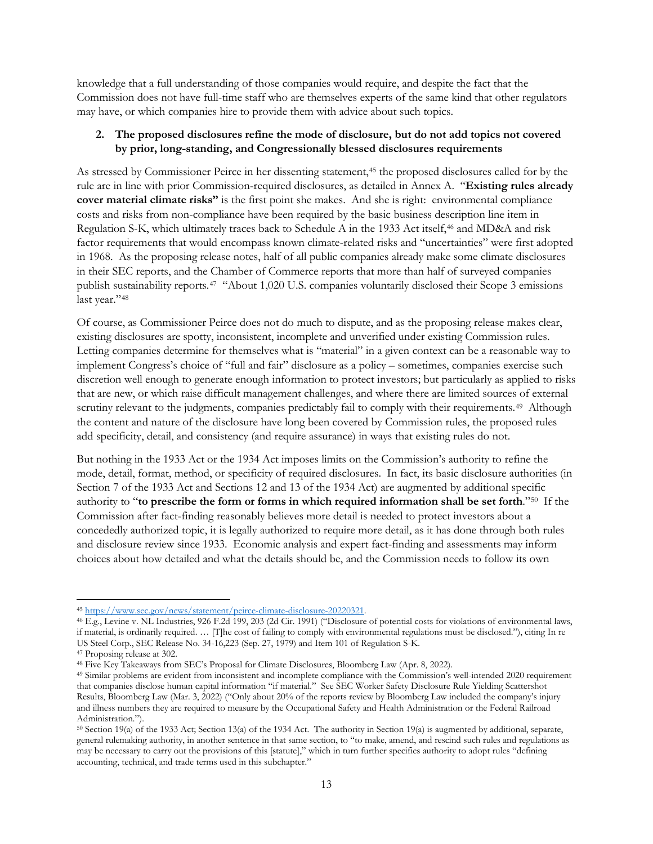knowledge that a full understanding of those companies would require, and despite the fact that the Commission does not have full-time staff who are themselves experts of the same kind that other regulators may have, or which companies hire to provide them with advice about such topics.

## **2. The proposed disclosures refine the mode of disclosure, but do not add topics not covered by prior, long-standing, and Congressionally blessed disclosures requirements**

As stressed by Commissioner Peirce in her dissenting statement,[45](#page-12-0) the proposed disclosures called for by the rule are in line with prior Commission-required disclosures, as detailed in Annex A. "**Existing rules already cover material climate risks"** is the first point she makes. And she is right: environmental compliance costs and risks from non-compliance have been required by the basic business description line item in Regulation S-K, which ultimately traces back to Schedule A in the 1933 Act itself,<sup>[46](#page-12-1)</sup> and MD&A and risk factor requirements that would encompass known climate-related risks and "uncertainties" were first adopted in 1968. As the proposing release notes, half of all public companies already make some climate disclosures in their SEC reports, and the Chamber of Commerce reports that more than half of surveyed companies publish sustainability reports.[47](#page-12-2) "About 1,020 U.S. companies voluntarily disclosed their Scope 3 emissions last year."[48](#page-12-3)

Of course, as Commissioner Peirce does not do much to dispute, and as the proposing release makes clear, existing disclosures are spotty, inconsistent, incomplete and unverified under existing Commission rules. Letting companies determine for themselves what is "material" in a given context can be a reasonable way to implement Congress's choice of "full and fair" disclosure as a policy – sometimes, companies exercise such discretion well enough to generate enough information to protect investors; but particularly as applied to risks that are new, or which raise difficult management challenges, and where there are limited sources of external scrutiny relevant to the judgments, companies predictably fail to comply with their requirements.<sup>[49](#page-12-4)</sup> Although the content and nature of the disclosure have long been covered by Commission rules, the proposed rules add specificity, detail, and consistency (and require assurance) in ways that existing rules do not.

But nothing in the 1933 Act or the 1934 Act imposes limits on the Commission's authority to refine the mode, detail, format, method, or specificity of required disclosures. In fact, its basic disclosure authorities (in Section 7 of the 1933 Act and Sections 12 and 13 of the 1934 Act) are augmented by additional specific authority to "**to prescribe the form or forms in which required information shall be set forth**."[50](#page-12-5) If the Commission after fact-finding reasonably believes more detail is needed to protect investors about a concededly authorized topic, it is legally authorized to require more detail, as it has done through both rules and disclosure review since 1933. Economic analysis and expert fact-finding and assessments may inform choices about how detailed and what the details should be, and the Commission needs to follow its own

l

<span id="page-12-1"></span><span id="page-12-0"></span><sup>45</sup> https://www.sec.gov/news/statement/peirce-climate-disclosure-20220321.<br>46 E.g., Levine v. NL Industries, 926 F.2d 199, 203 (2d Cir. 1991) ("Disclosure of potential costs for violations of environmental laws, if material, is ordinarily required. … [T]he cost of failing to comply with environmental regulations must be disclosed."), citing In re US Steel Corp., SEC Release No. 34-16,223 (Sep. 27, 1979) and Item 101 of Regulation S-K.

<span id="page-12-2"></span><sup>47</sup> Proposing release at 302.

<span id="page-12-3"></span><sup>48</sup> Five Key Takeaways from SEC's Proposal for Climate Disclosures, Bloomberg Law (Apr. 8, 2022).

<span id="page-12-4"></span><sup>49</sup> Similar problems are evident from inconsistent and incomplete compliance with the Commission's well-intended 2020 requirement that companies disclose human capital information "if material." See SEC Worker Safety Disclosure Rule Yielding Scattershot Results, Bloomberg Law (Mar. 3, 2022) ("Only about 20% of the reports review by Bloomberg Law included the company's injury and illness numbers they are required to measure by the Occupational Safety and Health Administration or the Federal Railroad Administration.").

<span id="page-12-5"></span><sup>50</sup> Section 19(a) of the 1933 Act; Section 13(a) of the 1934 Act. The authority in Section 19(a) is augmented by additional, separate, general rulemaking authority, in another sentence in that same section, to "to make, amend, and rescind such rules and regulations as may be necessary to carry out the provisions of this [statute]," which in turn further specifies authority to adopt rules "defining accounting, technical, and trade terms used in this subchapter."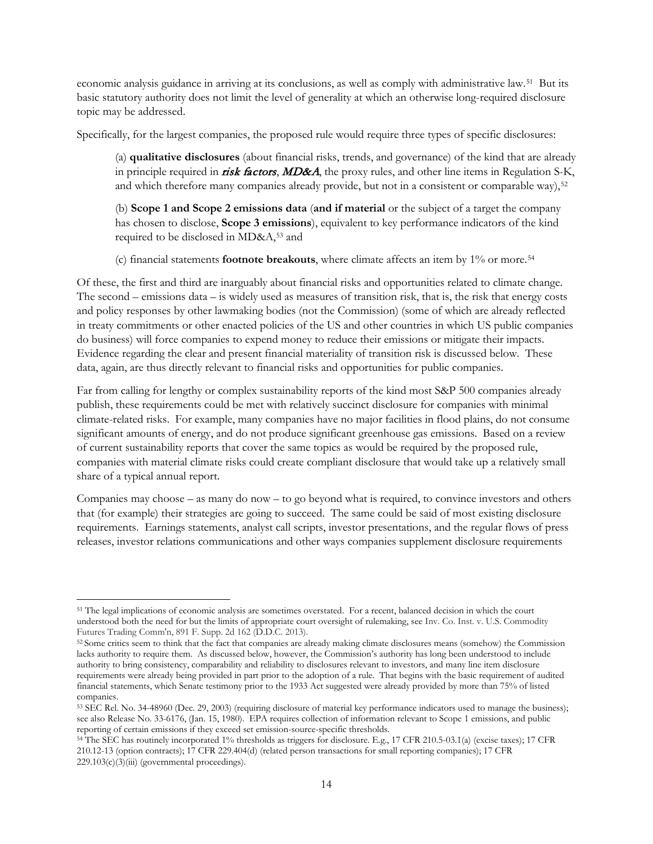economic analysis guidance in arriving at its conclusions, as well as comply with administrative law.[51](#page-13-0) But its basic statutory authority does not limit the level of generality at which an otherwise long-required disclosure topic may be addressed.

Specifically, for the largest companies, the proposed rule would require three types of specific disclosures:

(a) **qualitative disclosures** (about financial risks, trends, and governance) of the kind that are already in principle required in risk factors, MD&A, the proxy rules, and other line items in Regulation S-K, and which therefore many companies already provide, but not in a consistent or comparable way),[52](#page-13-1)

(b) **Scope 1 and Scope 2 emissions data** (**and if material** or the subject of a target the company has chosen to disclose, **Scope 3 emissions**), equivalent to key performance indicators of the kind required to be disclosed in MD&A,[53](#page-13-2) and

(c) financial statements **footnote breakouts**, where climate affects an item by 1% or more.[54](#page-13-3)

Of these, the first and third are inarguably about financial risks and opportunities related to climate change. The second – emissions data – is widely used as measures of transition risk, that is, the risk that energy costs and policy responses by other lawmaking bodies (not the Commission) (some of which are already reflected in treaty commitments or other enacted policies of the US and other countries in which US public companies do business) will force companies to expend money to reduce their emissions or mitigate their impacts. Evidence regarding the clear and present financial materiality of transition risk is discussed below. These data, again, are thus directly relevant to financial risks and opportunities for public companies.

Far from calling for lengthy or complex sustainability reports of the kind most S&P 500 companies already publish, these requirements could be met with relatively succinct disclosure for companies with minimal climate-related risks. For example, many companies have no major facilities in flood plains, do not consume significant amounts of energy, and do not produce significant greenhouse gas emissions. Based on a review of current sustainability reports that cover the same topics as would be required by the proposed rule, companies with material climate risks could create compliant disclosure that would take up a relatively small share of a typical annual report.

Companies may choose – as many do now – to go beyond what is required, to convince investors and others that (for example) their strategies are going to succeed. The same could be said of most existing disclosure requirements. Earnings statements, analyst call scripts, investor presentations, and the regular flows of press releases, investor relations communications and other ways companies supplement disclosure requirements

<span id="page-13-0"></span>l <sup>51</sup> The legal implications of economic analysis are sometimes overstated. For a recent, balanced decision in which the court understood both the need for but the limits of appropriate court oversight of rulemaking, see Inv. Co. Inst. v. U.S. Commodity Futures Trading Comm'n, 891 F. Supp. 2d 162 (D.D.C. 2013).<br><sup>52</sup> Some critics seem to think that the fact that companies are already making climate disclosures means (somehow) the Commission

<span id="page-13-1"></span>lacks authority to require them. As discussed below, however, the Commission's authority has long been understood to include authority to bring consistency, comparability and reliability to disclosures relevant to investors, and many line item disclosure requirements were already being provided in part prior to the adoption of a rule. That begins with the basic requirement of audited financial statements, which Senate testimony prior to the 1933 Act suggested were already provided by more than 75% of listed companies.

<span id="page-13-2"></span><sup>53</sup> SEC Rel. No. 34-48960 (Dec. 29, 2003) (requiring disclosure of material key performance indicators used to manage the business); see also Release No. 33-6176, (Jan. 15, 1980). EPA requires collection of information relevant to Scope 1 emissions, and public reporting of certain emissions if they exceed set emission-source-specific thresholds.

<span id="page-13-3"></span><sup>&</sup>lt;sup>54</sup> The SEC has routinely incorporated 1% thresholds as triggers for disclosure. E.g., 17 CFR 210.5-03.1(a) (excise taxes); 17 CFR 210.12-13 (option contracts); 17 CFR 229.404(d) (related person transactions for small reporting companies); 17 CFR 229.103(c)(3)(iii) (governmental proceedings).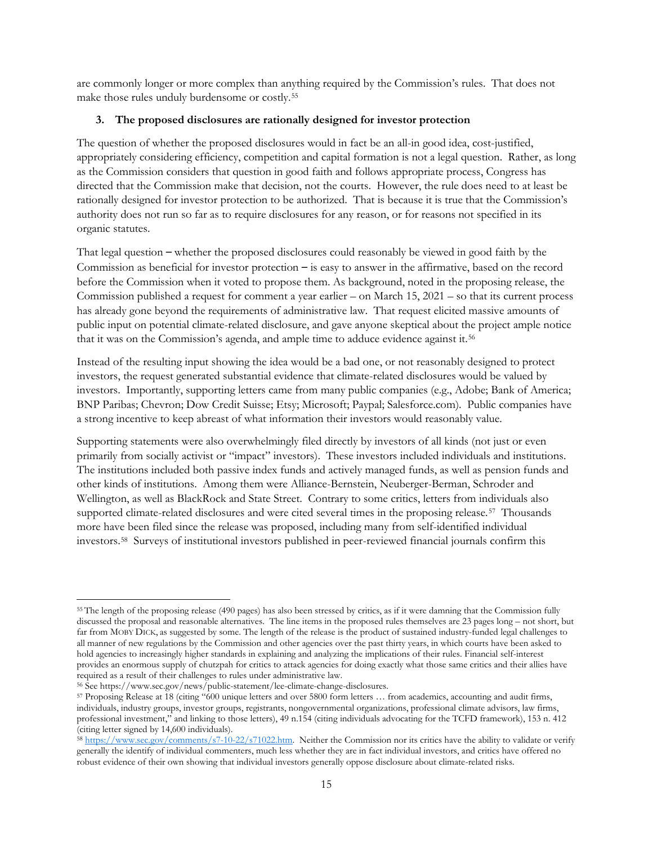are commonly longer or more complex than anything required by the Commission's rules. That does not make those rules unduly burdensome or costly.[55](#page-14-0)

### **3. The proposed disclosures are rationally designed for investor protection**

The question of whether the proposed disclosures would in fact be an all-in good idea, cost-justified, appropriately considering efficiency, competition and capital formation is not a legal question. Rather, as long as the Commission considers that question in good faith and follows appropriate process, Congress has directed that the Commission make that decision, not the courts. However, the rule does need to at least be rationally designed for investor protection to be authorized. That is because it is true that the Commission's authority does not run so far as to require disclosures for any reason, or for reasons not specified in its organic statutes.

That legal question – whether the proposed disclosures could reasonably be viewed in good faith by the Commission as beneficial for investor protection – is easy to answer in the affirmative, based on the record before the Commission when it voted to propose them. As background, noted in the proposing release, the Commission published a request for comment a year earlier – on March 15, 2021 – so that its current process has already gone beyond the requirements of administrative law. That request elicited massive amounts of public input on potential climate-related disclosure, and gave anyone skeptical about the project ample notice that it was on the Commission's agenda, and ample time to adduce evidence against it.[56](#page-14-1) 

Instead of the resulting input showing the idea would be a bad one, or not reasonably designed to protect investors, the request generated substantial evidence that climate-related disclosures would be valued by investors. Importantly, supporting letters came from many public companies (e.g., Adobe; Bank of America; BNP Paribas; Chevron; Dow Credit Suisse; Etsy; Microsoft; Paypal; Salesforce.com). Public companies have a strong incentive to keep abreast of what information their investors would reasonably value.

Supporting statements were also overwhelmingly filed directly by investors of all kinds (not just or even primarily from socially activist or "impact" investors). These investors included individuals and institutions. The institutions included both passive index funds and actively managed funds, as well as pension funds and other kinds of institutions. Among them were Alliance-Bernstein, Neuberger-Berman, Schroder and Wellington, as well as BlackRock and State Street. Contrary to some critics, letters from individuals also supported climate-related disclosures and were cited several times in the proposing release.<sup>57</sup> Thousands more have been filed since the release was proposed, including many from self-identified individual investors.[58](#page-14-3) Surveys of institutional investors published in peer-reviewed financial journals confirm this

l

<span id="page-14-0"></span><sup>55</sup> The length of the proposing release (490 pages) has also been stressed by critics, as if it were damning that the Commission fully discussed the proposal and reasonable alternatives. The line items in the proposed rules themselves are 23 pages long – not short, but far from MOBY DICK, as suggested by some. The length of the release is the product of sustained industry-funded legal challenges to all manner of new regulations by the Commission and other agencies over the past thirty years, in which courts have been asked to hold agencies to increasingly higher standards in explaining and analyzing the implications of their rules. Financial self-interest provides an enormous supply of chutzpah for critics to attack agencies for doing exactly what those same critics and their allies have required as a result of their challenges to rules under administrative law.

<span id="page-14-1"></span><sup>56</sup> See https://www.sec.gov/news/public-statement/lee-climate-change-disclosures.

<span id="page-14-2"></span><sup>57</sup> Proposing Release at 18 (citing "600 unique letters and over 5800 form letters … from academics, accounting and audit firms, individuals, industry groups, investor groups, registrants, nongovernmental organizations, professional climate advisors, law firms, professional investment," and linking to those letters), 49 n.154 (citing individuals advocating for the TCFD framework), 153 n. 412 (citing letter signed by 14,600 individuals).

<span id="page-14-3"></span> $\frac{1}{28}$  [https://www.sec.gov/comments/s7-10-22/s71022.htm.](https://www.sec.gov/comments/s7-10-22/s71022.htm) Neither the Commission nor its critics have the ability to validate or verify generally the identify of individual commenters, much less whether they are in fact individual investors, and critics have offered no robust evidence of their own showing that individual investors generally oppose disclosure about climate-related risks.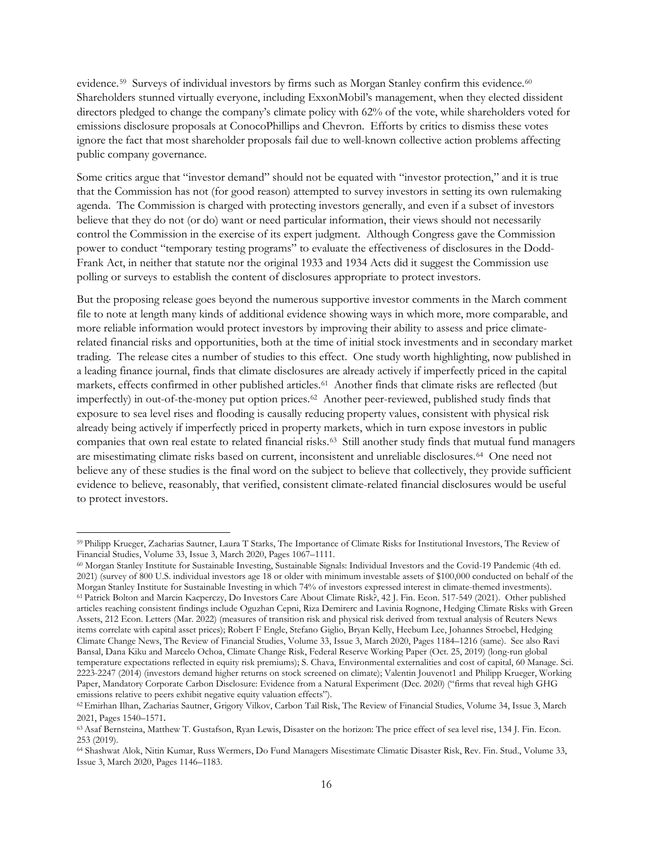evidence.<sup>59</sup> Surveys of individual investors by firms such as Morgan Stanley confirm this evidence.<sup>60</sup> Shareholders stunned virtually everyone, including ExxonMobil's management, when they elected dissident directors pledged to change the company's climate policy with 62% of the vote, while shareholders voted for emissions disclosure proposals at ConocoPhillips and Chevron. Efforts by critics to dismiss these votes ignore the fact that most shareholder proposals fail due to well-known collective action problems affecting public company governance.

Some critics argue that "investor demand" should not be equated with "investor protection," and it is true that the Commission has not (for good reason) attempted to survey investors in setting its own rulemaking agenda. The Commission is charged with protecting investors generally, and even if a subset of investors believe that they do not (or do) want or need particular information, their views should not necessarily control the Commission in the exercise of its expert judgment. Although Congress gave the Commission power to conduct "temporary testing programs" to evaluate the effectiveness of disclosures in the Dodd-Frank Act, in neither that statute nor the original 1933 and 1934 Acts did it suggest the Commission use polling or surveys to establish the content of disclosures appropriate to protect investors.

But the proposing release goes beyond the numerous supportive investor comments in the March comment file to note at length many kinds of additional evidence showing ways in which more, more comparable, and more reliable information would protect investors by improving their ability to assess and price climaterelated financial risks and opportunities, both at the time of initial stock investments and in secondary market trading. The release cites a number of studies to this effect. One study worth highlighting, now published in a leading finance journal, finds that climate disclosures are already actively if imperfectly priced in the capital markets, effects confirmed in other published articles.[61](#page-15-2) Another finds that climate risks are reflected (but imperfectly) in out-of-the-money put option prices.[62](#page-15-3) Another peer-reviewed, published study finds that exposure to sea level rises and flooding is causally reducing property values, consistent with physical risk already being actively if imperfectly priced in property markets, which in turn expose investors in public companies that own real estate to related financial risks.[63](#page-15-4) Still another study finds that mutual fund managers are misestimating climate risks based on current, inconsistent and unreliable disclosures.[64](#page-15-5) One need not believe any of these studies is the final word on the subject to believe that collectively, they provide sufficient evidence to believe, reasonably, that verified, consistent climate-related financial disclosures would be useful to protect investors.

l

<span id="page-15-0"></span><sup>59</sup> Philipp Krueger, Zacharias Sautner, Laura T Starks, The Importance of Climate Risks for Institutional Investors, The Review of Financial Studies, Volume 33, Issue 3, March 2020, Pages 1067–1111.<br><sup>60</sup> Morgan Stanley Institute for Sustainable Investing, Sustainable Signals: Individual Investors and the Covid-19 Pandemic (4th ed.

<span id="page-15-2"></span><span id="page-15-1"></span><sup>2021) (</sup>survey of 800 U.S. individual investors age 18 or older with minimum investable assets of \$100,000 conducted on behalf of the Morgan Stanley Institute for Sustainable Investing in which 74% of investors expressed interest in climate-themed investments). <sup>61</sup> Patrick Bolton and Marcin Kacperczy, Do Investors Care About Climate Risk?, 42 J. Fin. Econ. 517-549 (2021). Other published articles reaching consistent findings include [Oguzhan Cepni, Riza Demirerc](https://www.sciencedirect.com/science/article/abs/pii/S0165176522000222#!) and [Lavinia Rognone,](https://www.sciencedirect.com/science/article/abs/pii/S0165176522000222#!) Hedging Climate Risks with Green Assets, 212 Econ. Letters (Mar. 2022) (measures of transition risk and physical risk derived from textual analysis of Reuters News items correlate with capital asset prices); Robert F Engle, Stefano Giglio, Bryan Kelly, Heebum Lee, Johannes Stroebel, Hedging Climate Change News, The Review of Financial Studies, Volume 33, Issue 3, March 2020, Pages 1184–1216 (same). See also Ravi Bansal, Dana Kiku and Marcelo Ochoa, Climate Change Risk, Federal Reserve Working Paper (Oct. 25, 2019) (long-run global temperature expectations reflected in equity risk premiums); S. Chava, Environmental externalities and cost of capital, 60 Manage. Sci. 2223-2247 (2014) (investors demand higher returns on stock screened on climate); Valentin Jouvenot1 and Philipp Krueger, Working Paper, Mandatory Corporate Carbon Disclosure: Evidence from a Natural Experiment (Dec. 2020) ("firms that reveal high GHG emissions relative to peers exhibit negative equity valuation effects").

<span id="page-15-3"></span><sup>62</sup>Emirhan Ilhan, Zacharias Sautner, Grigory Vilkov, Carbon Tail Risk, The Review of Financial Studies, Volume 34, Issue 3, March 2021, Pages 1540–1571.

<span id="page-15-4"></span><sup>63</sup>Asaf Bernsteina, Matthew T. Gustafson, Ryan Lewis, Disaster on the horizon: The price effect of sea level rise, 134 J. Fin. Econ. 253 (2019).

<span id="page-15-5"></span><sup>64</sup> Shashwat Alok, Nitin Kumar, Russ Wermers, Do Fund Managers Misestimate Climatic Disaster Risk, Rev. Fin. Stud., Volume 33, Issue 3, March 2020, Pages 1146–1183.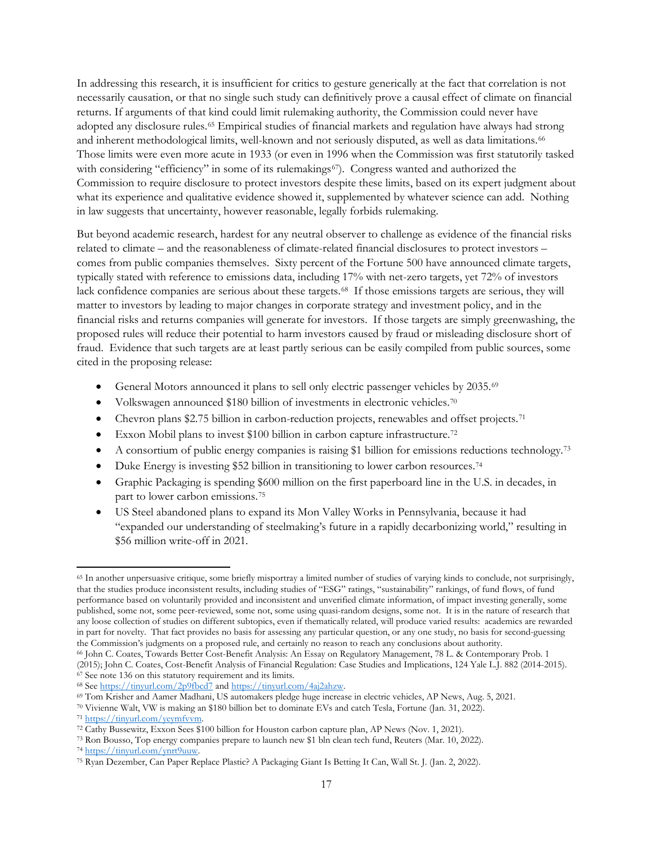In addressing this research, it is insufficient for critics to gesture generically at the fact that correlation is not necessarily causation, or that no single such study can definitively prove a causal effect of climate on financial returns. If arguments of that kind could limit rulemaking authority, the Commission could never have adopted any disclosure rules.[65](#page-16-0) Empirical studies of financial markets and regulation have always had strong and inherent methodological limits, well-known and not seriously disputed, as well as data limitations.<sup>[66](#page-16-1)</sup> Those limits were even more acute in 1933 (or even in 1996 when the Commission was first statutorily tasked with considering "efficiency" in some of its rulemakings<sup>67</sup>). Congress wanted and authorized the Commission to require disclosure to protect investors despite these limits, based on its expert judgment about what its experience and qualitative evidence showed it, supplemented by whatever science can add. Nothing in law suggests that uncertainty, however reasonable, legally forbids rulemaking.

But beyond academic research, hardest for any neutral observer to challenge as evidence of the financial risks related to climate – and the reasonableness of climate-related financial disclosures to protect investors – comes from public companies themselves. Sixty percent of the Fortune 500 have announced climate targets, typically stated with reference to emissions data, including 17% with net-zero targets, yet 72% of investors lack confidence companies are serious about these targets.[68](#page-16-3) If those emissions targets are serious, they will matter to investors by leading to major changes in corporate strategy and investment policy, and in the financial risks and returns companies will generate for investors. If those targets are simply greenwashing, the proposed rules will reduce their potential to harm investors caused by fraud or misleading disclosure short of fraud. Evidence that such targets are at least partly serious can be easily compiled from public sources, some cited in the proposing release:

- General Motors announced it plans to sell only electric passenger vehicles by 2035.[69](#page-16-4)
- Volkswagen announced \$180 billion of investments in electronic vehicles.[70](#page-16-5)
- Chevron plans \$2.75 billion in carbon-reduction projects, renewables and offset projects.<sup>[71](#page-16-6)</sup>
- Exxon Mobil plans to invest \$100 billion in carbon capture infrastructure.<sup>[72](#page-16-7)</sup>
- A consortium of public energy companies is raising \$1 billion for emissions reductions technology.<sup>[73](#page-16-8)</sup>
- Duke Energy is investing \$52 billion in transitioning to lower carbon resources.<sup>[74](#page-16-9)</sup>
- Graphic Packaging is spending \$600 million on the first paperboard line in the U.S. in decades, in part to lower carbon emissions.[75](#page-16-10)
- US Steel abandoned plans to expand its Mon Valley Works in Pennsylvania, because it had "expanded our understanding of steelmaking's future in a rapidly decarbonizing world," resulting in \$56 million write-off in 2021.

<span id="page-16-2"></span>

<span id="page-16-0"></span> $\overline{\phantom{a}}$ <sup>65</sup> In another unpersuasive critique, some briefly misportray a limited number of studies of varying kinds to conclude, not surprisingly, that the studies produce inconsistent results, including studies of "ESG" ratings, "sustainability" rankings, of fund flows, of fund performance based on voluntarily provided and inconsistent and unverified climate information, of impact investing generally, some published, some not, some peer-reviewed, some not, some using quasi-random designs, some not. It is in the nature of research that any loose collection of studies on different subtopics, even if thematically related, will produce varied results: academics are rewarded in part for novelty. That fact provides no basis for assessing any particular question, or any one study, no basis for second-guessing the Commission's judgments on a proposed rule, and certainly no reason to reach any conclusions about authority.

<span id="page-16-1"></span><sup>66</sup> John C. Coates, Towards Better Cost-Benefit Analysis: An Essay on Regulatory Management, 78 L. & Contemporary Prob. 1 (2015); John C. Coates, Cost-Benefit Analysis of Financial Regulation: Case Studies and Implications, 124 Yale L.J. 882 (2014-2015).<br>
<sup>67</sup> See note 136 on this statutory requirement and its limits.<br>
<sup>68</sup> See https://tinyu

<span id="page-16-4"></span><span id="page-16-3"></span><sup>69</sup> Tom Krisher and Aamer Madhani, US automakers pledge huge increase in electric vehicles, AP News, Aug. 5, 2021.

<span id="page-16-5"></span><sup>70</sup> Vivienne Walt, VW is making an \$180 billion bet to dominate EVs and catch Tesla, Fortune (Jan. 31, 2022).

<span id="page-16-7"></span><span id="page-16-6"></span><sup>&</sup>lt;sup>72</sup> Cathy Bussewitz, Exxon Sees \$100 billion for Houston carbon capture plan, AP News (Nov. 1, 2021).

<span id="page-16-9"></span><span id="page-16-8"></span><sup>&</sup>lt;sup>73</sup> Ron Bousso, Top energy companies prepare to launch new \$1 bln clean tech fund, Reuters (Mar. 10, 2022).<br><sup>74</sup> https://tinyurl.com/ynrt9uuw.

<span id="page-16-10"></span><sup>&</sup>lt;sup>75</sup> Ryan Dezember, Can Paper Replace Plastic? A Packaging Giant Is Betting It Can, Wall St. J. (Jan. 2, 2022).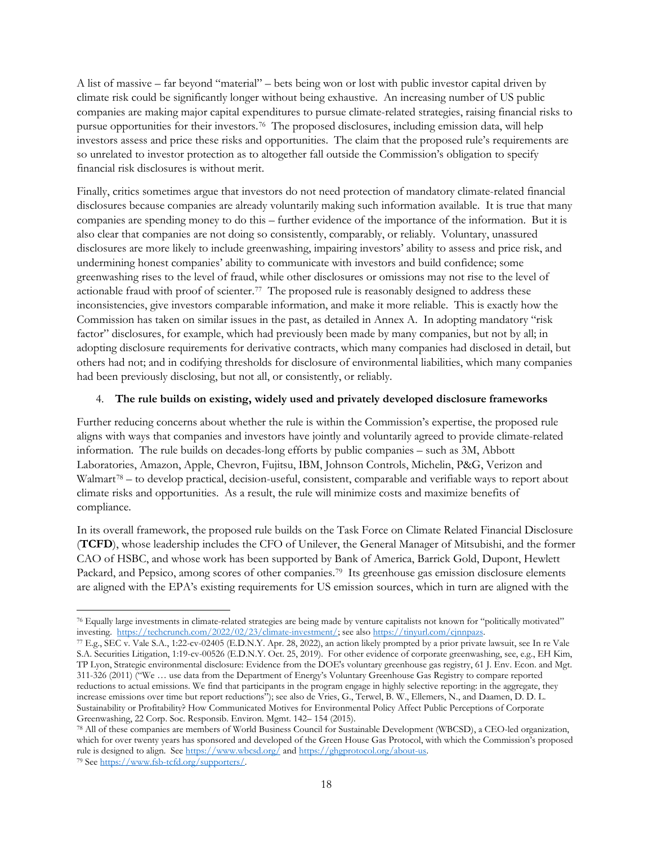A list of massive – far beyond "material" – bets being won or lost with public investor capital driven by climate risk could be significantly longer without being exhaustive. An increasing number of US public companies are making major capital expenditures to pursue climate-related strategies, raising financial risks to pursue opportunities for their investors.[76](#page-17-0) The proposed disclosures, including emission data, will help investors assess and price these risks and opportunities. The claim that the proposed rule's requirements are so unrelated to investor protection as to altogether fall outside the Commission's obligation to specify financial risk disclosures is without merit.

Finally, critics sometimes argue that investors do not need protection of mandatory climate-related financial disclosures because companies are already voluntarily making such information available. It is true that many companies are spending money to do this – further evidence of the importance of the information. But it is also clear that companies are not doing so consistently, comparably, or reliably. Voluntary, unassured disclosures are more likely to include greenwashing, impairing investors' ability to assess and price risk, and undermining honest companies' ability to communicate with investors and build confidence; some greenwashing rises to the level of fraud, while other disclosures or omissions may not rise to the level of actionable fraud with proof of scienter.[77](#page-17-1) The proposed rule is reasonably designed to address these inconsistencies, give investors comparable information, and make it more reliable. This is exactly how the Commission has taken on similar issues in the past, as detailed in Annex A. In adopting mandatory "risk factor" disclosures, for example, which had previously been made by many companies, but not by all; in adopting disclosure requirements for derivative contracts, which many companies had disclosed in detail, but others had not; and in codifying thresholds for disclosure of environmental liabilities, which many companies had been previously disclosing, but not all, or consistently, or reliably.

### 4. **The rule builds on existing, widely used and privately developed disclosure frameworks**

Further reducing concerns about whether the rule is within the Commission's expertise, the proposed rule aligns with ways that companies and investors have jointly and voluntarily agreed to provide climate-related information. The rule builds on decades-long efforts by public companies – such as 3M, Abbott Laboratories, Amazon, Apple, Chevron, Fujitsu, IBM, Johnson Controls, Michelin, P&G, Verizon and Walmart<sup>78</sup> – to develop practical, decision-useful, consistent, comparable and verifiable ways to report about climate risks and opportunities. As a result, the rule will minimize costs and maximize benefits of compliance.

In its overall framework, the proposed rule builds on the Task Force on Climate Related Financial Disclosure (**TCFD**), whose leadership includes the CFO of Unilever, the General Manager of Mitsubishi, and the former CAO of HSBC, and whose work has been supported by Bank of America, Barrick Gold, Dupont, Hewlett Packard, and Pepsico, among scores of other companies.[79](#page-17-3) Its greenhouse gas emission disclosure elements are aligned with the EPA's existing requirements for US emission sources, which in turn are aligned with the

<span id="page-17-0"></span> $\overline{\phantom{a}}$ <sup>76</sup> Equally large investments in climate-related strategies are being made by venture capitalists not known for "politically motivated" investing. https://techcrunch.com/2022/02/23/climate-investment/; see also https://t

<span id="page-17-1"></span><sup>77</sup> E.g., SEC v. Vale S.A., 1:22-cv-02405 (E.D.N.Y. Apr. 28, 2022), an action likely prompted by a prior private lawsuit, see In re Vale S.A. Securities Litigation, 1:19-cv-00526 (E.D.N.Y. Oct. 25, 2019). For other evidence of corporate greenwashing, see, e.g., EH Kim, TP Lyon, Strategic environmental disclosure: Evidence from the DOE's voluntary greenhouse gas registry, 61 J. Env. Econ. and Mgt. 311-326 (2011) ("We … use data from the Department of Energy's Voluntary Greenhouse Gas Registry to compare reported reductions to actual emissions. We find that participants in the program engage in highly selective reporting: in the aggregate, they increase emissions over time but report reductions"); see also de Vries, G., Terwel, B. W., Ellemers, N., and Daamen, D. D. L. Sustainability or Profitability? How Communicated Motives for Environmental Policy Affect Public Perceptions of Corporate Greenwashing, 22 Corp. Soc. Responsib. Environ. Mgmt. 142– 154 (2015).<br><sup>78</sup> All of these companies are members of World Business Council for Sustainable Development (WBCSD), a CEO-led organization,

<span id="page-17-3"></span><span id="page-17-2"></span>which for over twenty years has sponsored and developed of the Green House Gas Protocol, with which the Commission's proposed rule is designed to align. See https://www.wbcsd.org/ an[d https://ghgprotocol.org/about-us.](https://ghgprotocol.org/about-us) 79 See [https://www.fsb-tcfd.org/supporters/.](https://www.fsb-tcfd.org/supporters/)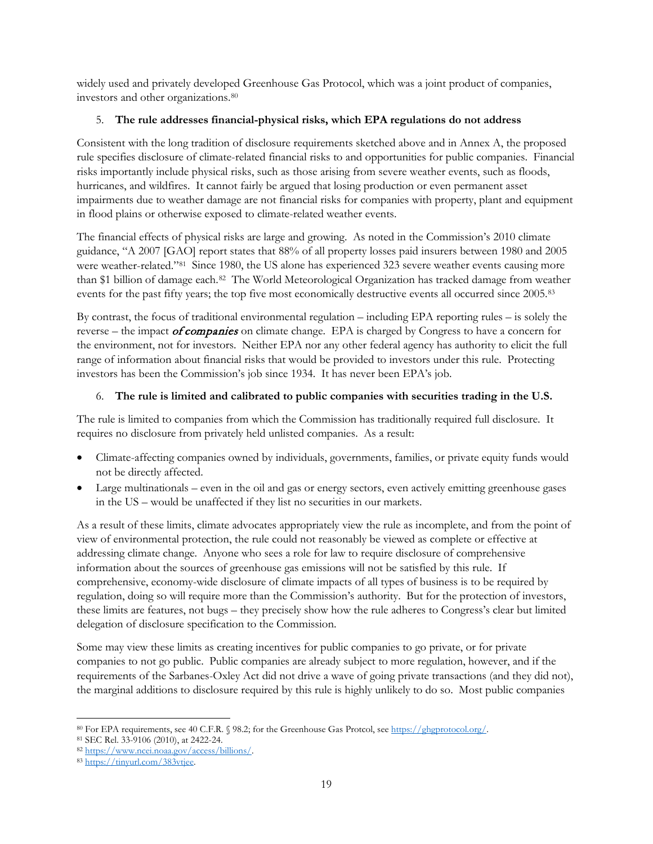widely used and privately developed Greenhouse Gas Protocol, which was a joint product of companies, investors and other organizations.[80](#page-18-0)

## 5. **The rule addresses financial-physical risks, which EPA regulations do not address**

Consistent with the long tradition of disclosure requirements sketched above and in Annex A, the proposed rule specifies disclosure of climate-related financial risks to and opportunities for public companies. Financial risks importantly include physical risks, such as those arising from severe weather events, such as floods, hurricanes, and wildfires. It cannot fairly be argued that losing production or even permanent asset impairments due to weather damage are not financial risks for companies with property, plant and equipment in flood plains or otherwise exposed to climate-related weather events.

The financial effects of physical risks are large and growing. As noted in the Commission's 2010 climate guidance, "A 2007 [GAO] report states that 88% of all property losses paid insurers between 1980 and 2005 were weather-related."[81](#page-18-1) Since 1980, the US alone has experienced 323 severe weather events causing more than \$1 billion of damage each.[82](#page-18-2) The World Meteorological Organization has tracked damage from weather events for the past fifty years; the top five most economically destructive events all occurred since 2005.[83](#page-18-3)

By contrast, the focus of traditional environmental regulation – including EPA reporting rules – is solely the reverse – the impact *of companies* on climate change. EPA is charged by Congress to have a concern for the environment, not for investors. Neither EPA nor any other federal agency has authority to elicit the full range of information about financial risks that would be provided to investors under this rule. Protecting investors has been the Commission's job since 1934. It has never been EPA's job.

# 6. **The rule is limited and calibrated to public companies with securities trading in the U.S.**

The rule is limited to companies from which the Commission has traditionally required full disclosure. It requires no disclosure from privately held unlisted companies. As a result:

- Climate-affecting companies owned by individuals, governments, families, or private equity funds would not be directly affected.
- Large multinationals even in the oil and gas or energy sectors, even actively emitting greenhouse gases in the US – would be unaffected if they list no securities in our markets.

As a result of these limits, climate advocates appropriately view the rule as incomplete, and from the point of view of environmental protection, the rule could not reasonably be viewed as complete or effective at addressing climate change. Anyone who sees a role for law to require disclosure of comprehensive information about the sources of greenhouse gas emissions will not be satisfied by this rule. If comprehensive, economy-wide disclosure of climate impacts of all types of business is to be required by regulation, doing so will require more than the Commission's authority. But for the protection of investors, these limits are features, not bugs – they precisely show how the rule adheres to Congress's clear but limited delegation of disclosure specification to the Commission.

Some may view these limits as creating incentives for public companies to go private, or for private companies to not go public. Public companies are already subject to more regulation, however, and if the requirements of the Sarbanes-Oxley Act did not drive a wave of going private transactions (and they did not), the marginal additions to disclosure required by this rule is highly unlikely to do so. Most public companies

<span id="page-18-0"></span> $\overline{\phantom{a}}$ <sup>80</sup> For EPA requirements, see 40 C.F.R. § 98.2; for the Greenhouse Gas Protcol, see [https://ghgprotocol.org/.](https://ghgprotocol.org/) 81 SEC Rel. 33-9106 (2010), at 2422-24.

<span id="page-18-3"></span><span id="page-18-2"></span><span id="page-18-1"></span><sup>82</sup> [https://www.ncei.noaa.gov/access/billions/.](https://www.ncei.noaa.gov/access/billions/) 83 [https://tinyurl.com/383vtjee.](https://tinyurl.com/383vtjee)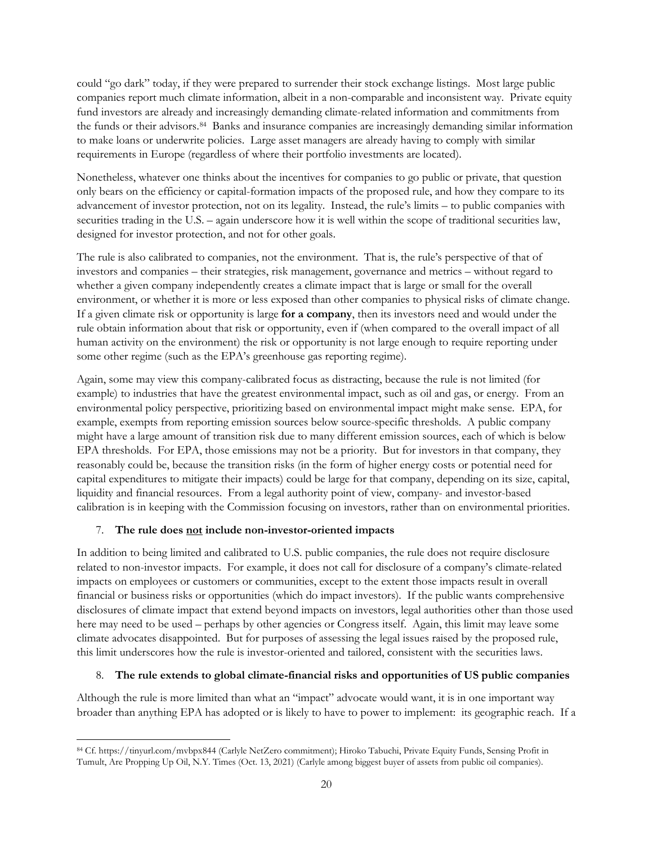could "go dark" today, if they were prepared to surrender their stock exchange listings. Most large public companies report much climate information, albeit in a non-comparable and inconsistent way. Private equity fund investors are already and increasingly demanding climate-related information and commitments from the funds or their advisors.[84](#page-19-0) Banks and insurance companies are increasingly demanding similar information to make loans or underwrite policies. Large asset managers are already having to comply with similar requirements in Europe (regardless of where their portfolio investments are located).

Nonetheless, whatever one thinks about the incentives for companies to go public or private, that question only bears on the efficiency or capital-formation impacts of the proposed rule, and how they compare to its advancement of investor protection, not on its legality. Instead, the rule's limits – to public companies with securities trading in the U.S. – again underscore how it is well within the scope of traditional securities law, designed for investor protection, and not for other goals.

The rule is also calibrated to companies, not the environment. That is, the rule's perspective of that of investors and companies – their strategies, risk management, governance and metrics – without regard to whether a given company independently creates a climate impact that is large or small for the overall environment, or whether it is more or less exposed than other companies to physical risks of climate change. If a given climate risk or opportunity is large **for a company**, then its investors need and would under the rule obtain information about that risk or opportunity, even if (when compared to the overall impact of all human activity on the environment) the risk or opportunity is not large enough to require reporting under some other regime (such as the EPA's greenhouse gas reporting regime).

Again, some may view this company-calibrated focus as distracting, because the rule is not limited (for example) to industries that have the greatest environmental impact, such as oil and gas, or energy. From an environmental policy perspective, prioritizing based on environmental impact might make sense. EPA, for example, exempts from reporting emission sources below source-specific thresholds. A public company might have a large amount of transition risk due to many different emission sources, each of which is below EPA thresholds. For EPA, those emissions may not be a priority. But for investors in that company, they reasonably could be, because the transition risks (in the form of higher energy costs or potential need for capital expenditures to mitigate their impacts) could be large for that company, depending on its size, capital, liquidity and financial resources. From a legal authority point of view, company- and investor-based calibration is in keeping with the Commission focusing on investors, rather than on environmental priorities.

## 7. **The rule does not include non-investor-oriented impacts**

In addition to being limited and calibrated to U.S. public companies, the rule does not require disclosure related to non-investor impacts. For example, it does not call for disclosure of a company's climate-related impacts on employees or customers or communities, except to the extent those impacts result in overall financial or business risks or opportunities (which do impact investors). If the public wants comprehensive disclosures of climate impact that extend beyond impacts on investors, legal authorities other than those used here may need to be used – perhaps by other agencies or Congress itself. Again, this limit may leave some climate advocates disappointed. But for purposes of assessing the legal issues raised by the proposed rule, this limit underscores how the rule is investor-oriented and tailored, consistent with the securities laws.

# 8. **The rule extends to global climate-financial risks and opportunities of US public companies**

Although the rule is more limited than what an "impact" advocate would want, it is in one important way broader than anything EPA has adopted or is likely to have to power to implement: its geographic reach. If a

<span id="page-19-0"></span> $\overline{\phantom{a}}$ <sup>84</sup> Cf. https://tinyurl.com/mvbpx844 (Carlyle NetZero commitment); Hiroko Tabuchi, Private Equity Funds, Sensing Profit in Tumult, Are Propping Up Oil, N.Y. Times (Oct. 13, 2021) (Carlyle among biggest buyer of assets from public oil companies).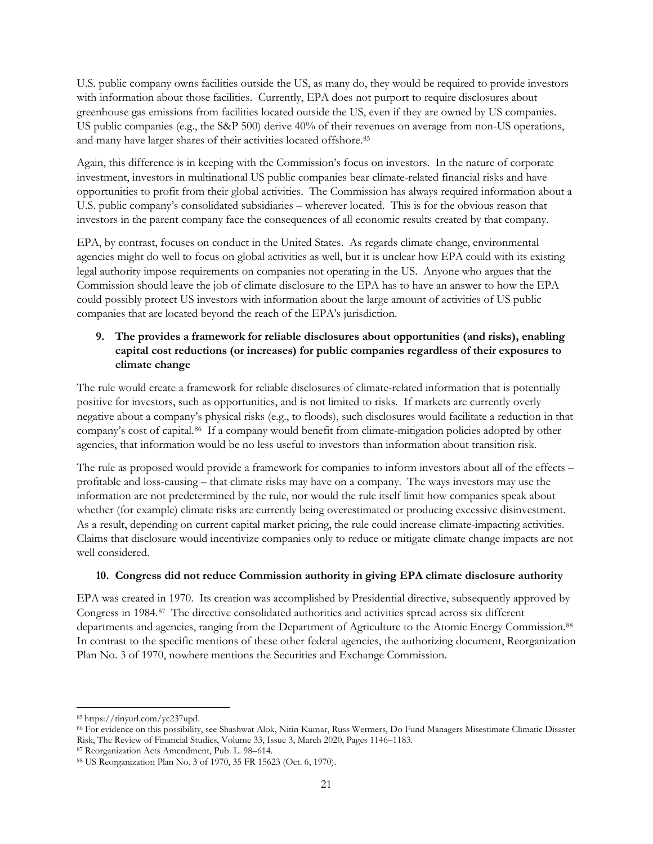U.S. public company owns facilities outside the US, as many do, they would be required to provide investors with information about those facilities. Currently, EPA does not purport to require disclosures about greenhouse gas emissions from facilities located outside the US, even if they are owned by US companies. US public companies (e.g., the S&P 500) derive 40% of their revenues on average from non-US operations, and many have larger shares of their activities located offshore.[85](#page-20-0)

Again, this difference is in keeping with the Commission's focus on investors. In the nature of corporate investment, investors in multinational US public companies bear climate-related financial risks and have opportunities to profit from their global activities. The Commission has always required information about a U.S. public company's consolidated subsidiaries – wherever located. This is for the obvious reason that investors in the parent company face the consequences of all economic results created by that company.

EPA, by contrast, focuses on conduct in the United States. As regards climate change, environmental agencies might do well to focus on global activities as well, but it is unclear how EPA could with its existing legal authority impose requirements on companies not operating in the US. Anyone who argues that the Commission should leave the job of climate disclosure to the EPA has to have an answer to how the EPA could possibly protect US investors with information about the large amount of activities of US public companies that are located beyond the reach of the EPA's jurisdiction.

# **9. The provides a framework for reliable disclosures about opportunities (and risks), enabling capital cost reductions (or increases) for public companies regardless of their exposures to climate change**

The rule would create a framework for reliable disclosures of climate-related information that is potentially positive for investors, such as opportunities, and is not limited to risks. If markets are currently overly negative about a company's physical risks (e.g., to floods), such disclosures would facilitate a reduction in that company's cost of capital.[86](#page-20-1) If a company would benefit from climate-mitigation policies adopted by other agencies, that information would be no less useful to investors than information about transition risk.

The rule as proposed would provide a framework for companies to inform investors about all of the effects – profitable and loss-causing – that climate risks may have on a company. The ways investors may use the information are not predetermined by the rule, nor would the rule itself limit how companies speak about whether (for example) climate risks are currently being overestimated or producing excessive disinvestment. As a result, depending on current capital market pricing, the rule could increase climate-impacting activities. Claims that disclosure would incentivize companies only to reduce or mitigate climate change impacts are not well considered.

## **10. Congress did not reduce Commission authority in giving EPA climate disclosure authority**

EPA was created in 1970. Its creation was accomplished by Presidential directive, subsequently approved by Congress in 1984.[87](#page-20-2) The directive consolidated authorities and activities spread across six different departments and agencies, ranging from the Department of Agriculture to the Atomic Energy Commission.<sup>[88](#page-20-3)</sup> In contrast to the specific mentions of these other federal agencies, the authorizing document, Reorganization Plan No. 3 of 1970, nowhere mentions the Securities and Exchange Commission.

<span id="page-20-0"></span><sup>85</sup> [https://tinyurl.com/yc237upd.](https://tinyurl.com/yc237upd)

<span id="page-20-1"></span><sup>86</sup> For evidence on this possibility, see Shashwat Alok, Nitin Kumar, Russ Wermers, Do Fund Managers Misestimate Climatic Disaster Risk, The Review of Financial Studies, Volume 33, Issue 3, March 2020, Pages 1146–1183.

<span id="page-20-2"></span><sup>87</sup> Reorganization Acts Amendment, Pub. L. 98–614.

<span id="page-20-3"></span><sup>88</sup> US Reorganization Plan No. 3 of 1970, 35 FR 15623 (Oct. 6, 1970).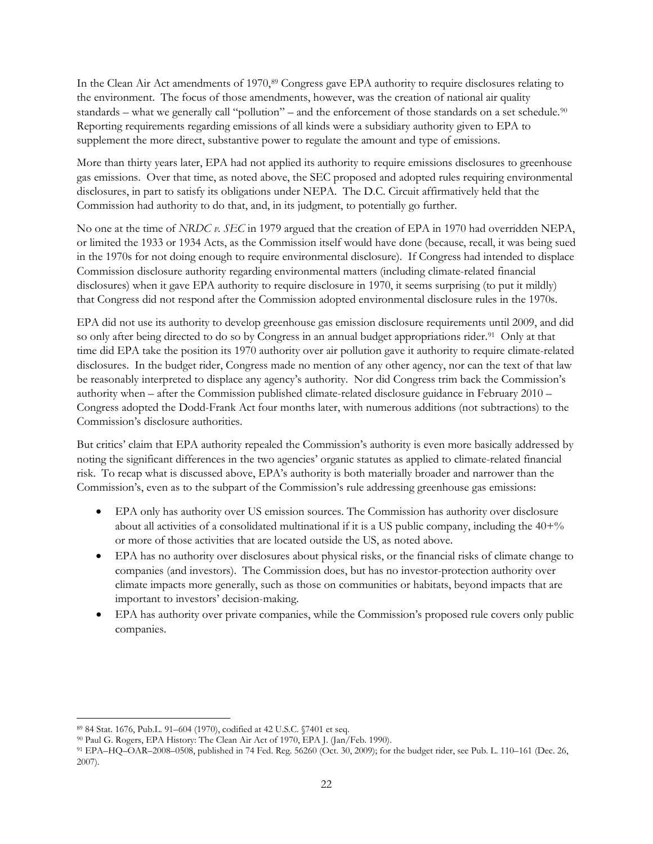In the Clean Air Act amendments of 1970,<sup>89</sup> Congress gave EPA authority to require disclosures relating to the environment. The focus of those amendments, however, was the creation of national air quality standards – what we generally call "pollution" – and the enforcement of those standards on a set schedule.<sup>[90](#page-21-1)</sup> Reporting requirements regarding emissions of all kinds were a subsidiary authority given to EPA to supplement the more direct, substantive power to regulate the amount and type of emissions.

More than thirty years later, EPA had not applied its authority to require emissions disclosures to greenhouse gas emissions. Over that time, as noted above, the SEC proposed and adopted rules requiring environmental disclosures, in part to satisfy its obligations under NEPA. The D.C. Circuit affirmatively held that the Commission had authority to do that, and, in its judgment, to potentially go further.

No one at the time of *NRDC v. SEC* in 1979 argued that the creation of EPA in 1970 had overridden NEPA, or limited the 1933 or 1934 Acts, as the Commission itself would have done (because, recall, it was being sued in the 1970s for not doing enough to require environmental disclosure). If Congress had intended to displace Commission disclosure authority regarding environmental matters (including climate-related financial disclosures) when it gave EPA authority to require disclosure in 1970, it seems surprising (to put it mildly) that Congress did not respond after the Commission adopted environmental disclosure rules in the 1970s.

EPA did not use its authority to develop greenhouse gas emission disclosure requirements until 2009, and did so only after being directed to do so by Congress in an annual budget appropriations rider.<sup>[91](#page-21-2)</sup> Only at that time did EPA take the position its 1970 authority over air pollution gave it authority to require climate-related disclosures. In the budget rider, Congress made no mention of any other agency, nor can the text of that law be reasonably interpreted to displace any agency's authority. Nor did Congress trim back the Commission's authority when – after the Commission published climate-related disclosure guidance in February 2010 – Congress adopted the Dodd-Frank Act four months later, with numerous additions (not subtractions) to the Commission's disclosure authorities.

But critics' claim that EPA authority repealed the Commission's authority is even more basically addressed by noting the significant differences in the two agencies' organic statutes as applied to climate-related financial risk. To recap what is discussed above, EPA's authority is both materially broader and narrower than the Commission's, even as to the subpart of the Commission's rule addressing greenhouse gas emissions:

- EPA only has authority over US emission sources. The Commission has authority over disclosure about all activities of a consolidated multinational if it is a US public company, including the  $40+%$ or more of those activities that are located outside the US, as noted above.
- EPA has no authority over disclosures about physical risks, or the financial risks of climate change to companies (and investors). The Commission does, but has no investor-protection authority over climate impacts more generally, such as those on communities or habitats, beyond impacts that are important to investors' decision-making.
- EPA has authority over private companies, while the Commission's proposed rule covers only public companies.

 $\overline{\phantom{a}}$ <sup>89</sup> 84 Stat. 1676, [Pub.L.](https://en.wikipedia.org/wiki/Public_Law_(United_States)) [91–604](https://uslaw.link/citation/us-law/public/91/604) (1970), codified at 42 U.S.C. §7401 et seq.

<span id="page-21-1"></span><span id="page-21-0"></span><sup>90</sup> Paul G. Rogers, EPA History: The Clean Air Act of 1970, EPA J. (Jan/Feb. 1990).

<span id="page-21-2"></span><sup>91</sup> EPA–HQ–OAR–2008–0508, published in 74 Fed. Reg. 56260 (Oct. 30, 2009); for the budget rider, see Pub. L. 110–161 (Dec. 26, 2007).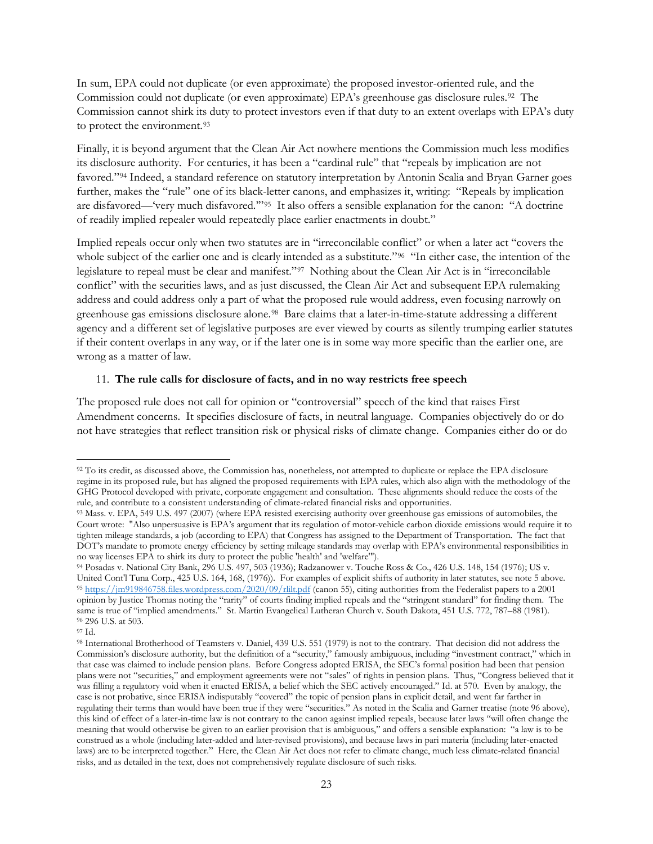In sum, EPA could not duplicate (or even approximate) the proposed investor-oriented rule, and the Commission could not duplicate (or even approximate) EPA's greenhouse gas disclosure rules.<sup>92</sup> The Commission cannot shirk its duty to protect investors even if that duty to an extent overlaps with EPA's duty to protect the environment.<sup>[93](#page-22-1)</sup>

Finally, it is beyond argument that the Clean Air Act nowhere mentions the Commission much less modifies its disclosure authority. For centuries, it has been a "cardinal rule" that "repeals by implication are not favored."[94](#page-22-2) Indeed, a standard reference on statutory interpretation by Antonin Scalia and Bryan Garner goes further, makes the "rule" one of its black-letter canons, and emphasizes it, writing: "Repeals by implication are disfavored—'very much disfavored.'"[95](#page-22-3) It also offers a sensible explanation for the canon: "A doctrine of readily implied repealer would repeatedly place earlier enactments in doubt."

Implied repeals occur only when two statutes are in "irreconcilable conflict" or when a later act "covers the whole subject of the earlier one and is clearly intended as a substitute."<sup>96</sup> "In either case, the intention of the legislature to repeal must be clear and manifest."[97](#page-22-5) Nothing about the Clean Air Act is in "irreconcilable conflict" with the securities laws, and as just discussed, the Clean Air Act and subsequent EPA rulemaking address and could address only a part of what the proposed rule would address, even focusing narrowly on greenhouse gas emissions disclosure alone.[98](#page-22-6) Bare claims that a later-in-time-statute addressing a different agency and a different set of legislative purposes are ever viewed by courts as silently trumping earlier statutes if their content overlaps in any way, or if the later one is in some way more specific than the earlier one, are wrong as a matter of law.

#### 11. **The rule calls for disclosure of facts, and in no way restricts free speech**

The proposed rule does not call for opinion or "controversial" speech of the kind that raises First Amendment concerns. It specifies disclosure of facts, in neutral language. Companies objectively do or do not have strategies that reflect transition risk or physical risks of climate change. Companies either do or do

<span id="page-22-0"></span><sup>92</sup> To its credit, as discussed above, the Commission has, nonetheless, not attempted to duplicate or replace the EPA disclosure regime in its proposed rule, but has aligned the proposed requirements with EPA rules, which also align with the methodology of the GHG Protocol developed with private, corporate engagement and consultation. These alignments should reduce the costs of the rule, and contribute to a consistent understanding of climate-related financial risks and opportunities.

<span id="page-22-1"></span><sup>93</sup> Mass. v. EPA, 549 [U.S.](https://en.wikipedia.org/wiki/United_States_Reports) [497](https://supreme.justia.com/us/549/497/case.html) (2007) (where EPA resisted exercising authority over greenhouse gas emissions of automobiles, the Court wrote: "Also unpersuasive is EPA's argument that its regulation of motor-vehicle carbon dioxide emissions would require it to tighten mileage standards, a job (according to EPA) that Congress has assigned to the Department of Transportation. The fact that DOT's mandate to promote energy efficiency by setting mileage standards may overlap with EPA's environmental responsibilities in no way licenses EPA to shirk its duty to protect the public 'health' and 'welfare'").

<span id="page-22-3"></span><span id="page-22-2"></span><sup>94</sup> Posadas v. National City Bank, 296 U.S. 497, 503 (1936); Radzanower v. Touche Ross & Co., 426 U.S. 148, 154 (1976); US v. United Cont'l Tuna Corp., 425 U.S. 164, 168, (1976)). For examples of explicit shifts of authority in later statutes, see note 5 above. 95 <https://jm919846758.files.wordpress.com/2020/09/rlilt.pdf> (canon 55), citing authorities from the Federalist papers to a 2001 opinion by Justice Thomas noting the "rarity" of courts finding implied repeals and the "stringent standard" for finding them. The same is true of "implied amendments." St. Martin Evangelical Lutheran Church v. South Dakota, 451 U.S. 772, 787–88 (1981). <sup>96</sup> 296 U.S. at 503.

<span id="page-22-5"></span><span id="page-22-4"></span><sup>97</sup> Id.

<span id="page-22-6"></span><sup>98</sup> International Brotherhood of Teamsters v. Daniel, 439 U.S. 551 (1979) is not to the contrary. That decision did not address the Commission's disclosure authority, but the definition of a "security," famously ambiguous, including "investment contract," which in that case was claimed to include pension plans. Before Congress adopted ERISA, the SEC's formal position had been that pension plans were not "securities," and employment agreements were not "sales" of rights in pension plans. Thus, "Congress believed that it was filling a regulatory void when it enacted ERISA, a belief which the SEC actively encouraged." Id. at 570. Even by analogy, the case is not probative, since ERISA indisputably "covered" the topic of pension plans in explicit detail, and went far farther in regulating their terms than would have been true if they were "securities." As noted in the Scalia and Garner treatise (note 96 above), this kind of effect of a later-in-time law is not contrary to the canon against implied repeals, because later laws "will often change the meaning that would otherwise be given to an earlier provision that is ambiguous," and offers a sensible explanation: "a law is to be construed as a whole (including later-added and later-revised provisions), and because laws in pari materia (including later-enacted laws) are to be interpreted together." Here, the Clean Air Act does not refer to climate change, much less climate-related financial risks, and as detailed in the text, does not comprehensively regulate disclosure of such risks.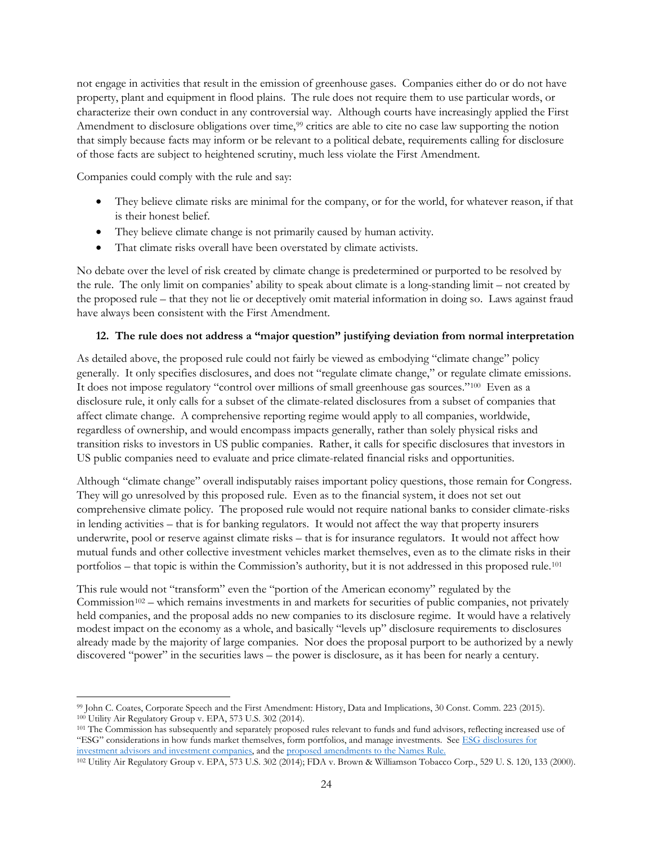not engage in activities that result in the emission of greenhouse gases. Companies either do or do not have property, plant and equipment in flood plains. The rule does not require them to use particular words, or characterize their own conduct in any controversial way. Although courts have increasingly applied the First Amendment to disclosure obligations over time,<sup>[99](#page-23-0)</sup> critics are able to cite no case law supporting the notion that simply because facts may inform or be relevant to a political debate, requirements calling for disclosure of those facts are subject to heightened scrutiny, much less violate the First Amendment.

Companies could comply with the rule and say:

- They believe climate risks are minimal for the company, or for the world, for whatever reason, if that is their honest belief.
- They believe climate change is not primarily caused by human activity.
- That climate risks overall have been overstated by climate activists.

No debate over the level of risk created by climate change is predetermined or purported to be resolved by the rule. The only limit on companies' ability to speak about climate is a long-standing limit – not created by the proposed rule – that they not lie or deceptively omit material information in doing so. Laws against fraud have always been consistent with the First Amendment.

## **12. The rule does not address a "major question" justifying deviation from normal interpretation**

As detailed above, the proposed rule could not fairly be viewed as embodying "climate change" policy generally. It only specifies disclosures, and does not "regulate climate change," or regulate climate emissions. It does not impose regulatory "control over millions of small greenhouse gas sources."[100](#page-23-1) Even as a disclosure rule, it only calls for a subset of the climate-related disclosures from a subset of companies that affect climate change. A comprehensive reporting regime would apply to all companies, worldwide, regardless of ownership, and would encompass impacts generally, rather than solely physical risks and transition risks to investors in US public companies. Rather, it calls for specific disclosures that investors in US public companies need to evaluate and price climate-related financial risks and opportunities.

Although "climate change" overall indisputably raises important policy questions, those remain for Congress. They will go unresolved by this proposed rule. Even as to the financial system, it does not set out comprehensive climate policy. The proposed rule would not require national banks to consider climate-risks in lending activities – that is for banking regulators. It would not affect the way that property insurers underwrite, pool or reserve against climate risks – that is for insurance regulators. It would not affect how mutual funds and other collective investment vehicles market themselves, even as to the climate risks in their portfolios – that topic is within the Commission's authority, but it is not addressed in this proposed rule.[101](#page-23-2)

This rule would not "transform" even the "portion of the American economy" regulated by the Commission<sup>102</sup> – which remains investments in and markets for securities of public companies, not privately held companies, and the proposal adds no new companies to its disclosure regime. It would have a relatively modest impact on the economy as a whole, and basically "levels up" disclosure requirements to disclosures already made by the majority of large companies. Nor does the proposal purport to be authorized by a newly discovered "power" in the securities laws – the power is disclosure, as it has been for nearly a century.

<span id="page-23-0"></span> $\overline{\phantom{a}}$ <sup>99</sup> John C. Coates, Corporate Speech and the First Amendment: History, Data and Implications, 30 Const. Comm. 223 (2015).<br><sup>100</sup> Utility Air Regulatory Group v. EPA, 573 U.S. 302 (2014).<br><sup>101</sup> The Commission has subsequent

<span id="page-23-2"></span><span id="page-23-1"></span><sup>&</sup>quot;ESG" considerations in how funds market themselves, form portfolios, and manage investments. Se[e ESG disclosures for](https://www.sec.gov/rules/proposed/2022/33-11068.pdf)  [investment advisors and investment companies,](https://www.sec.gov/rules/proposed/2022/33-11068.pdf) and the [proposed amendments to the Names Rule.](https://www.sec.gov/rules/proposed/2022/33-11067.pdf) 102 Utility Air Regulatory Group v. EPA, 573 U.S. 302 (2014); FDA v. Brown & Williamson Tobacco Corp., 529 U. S. 120, 133 (2000).

<span id="page-23-3"></span>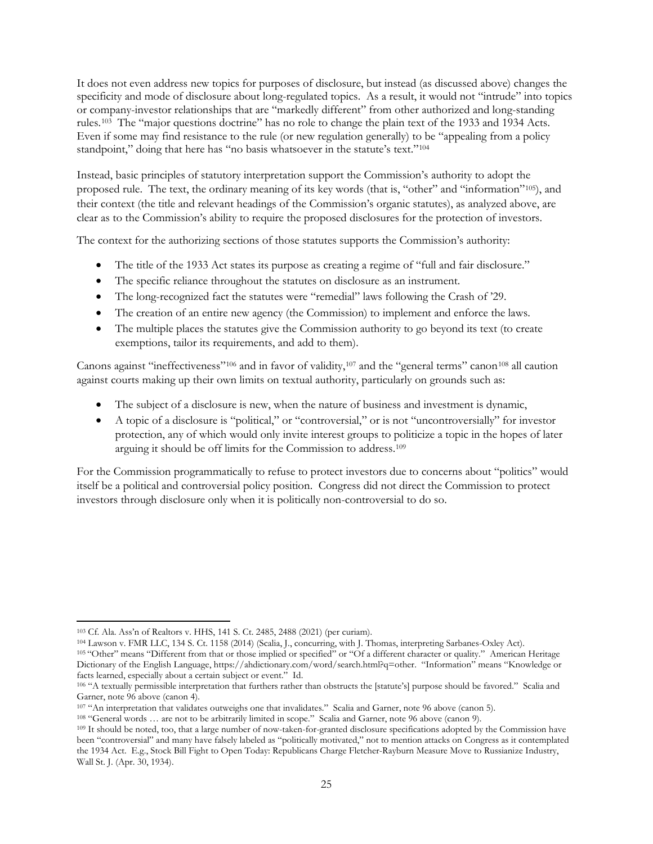It does not even address new topics for purposes of disclosure, but instead (as discussed above) changes the specificity and mode of disclosure about long-regulated topics. As a result, it would not "intrude" into topics or company-investor relationships that are "markedly different" from other authorized and long-standing rules.[103](#page-24-0) The "major questions doctrine" has no role to change the plain text of the 1933 and 1934 Acts. Even if some may find resistance to the rule (or new regulation generally) to be "appealing from a policy standpoint," doing that here has "no basis whatsoever in the statute's text."<sup>[104](#page-24-1)</sup>

Instead, basic principles of statutory interpretation support the Commission's authority to adopt the proposed rule. The text, the ordinary meaning of its key words (that is, "other" and "information"[105](#page-24-2)), and their context (the title and relevant headings of the Commission's organic statutes), as analyzed above, are clear as to the Commission's ability to require the proposed disclosures for the protection of investors.

The context for the authorizing sections of those statutes supports the Commission's authority:

- The title of the 1933 Act states its purpose as creating a regime of "full and fair disclosure."
- The specific reliance throughout the statutes on disclosure as an instrument.
- The long-recognized fact the statutes were "remedial" laws following the Crash of '29.
- The creation of an entire new agency (the Commission) to implement and enforce the laws.
- The multiple places the statutes give the Commission authority to go beyond its text (to create exemptions, tailor its requirements, and add to them).

Canons against "ineffectiveness"<sup>[106](#page-24-3)</sup> and in favor of validity,<sup>[107](#page-24-4)</sup> and the "general terms" canon<sup>[108](#page-24-5)</sup> all caution against courts making up their own limits on textual authority, particularly on grounds such as:

- The subject of a disclosure is new, when the nature of business and investment is dynamic,
- A topic of a disclosure is "political," or "controversial," or is not "uncontroversially" for investor protection, any of which would only invite interest groups to politicize a topic in the hopes of later arguing it should be off limits for the Commission to address.[109](#page-24-6)

For the Commission programmatically to refuse to protect investors due to concerns about "politics" would itself be a political and controversial policy position. Congress did not direct the Commission to protect investors through disclosure only when it is politically non-controversial to do so.

 $\overline{\phantom{a}}$ 

<span id="page-24-1"></span><sup>104</sup> Lawson v. FMR LLC, 134 S. Ct. 1158 (2014) (Scalia, J., concurring, with J. Thomas, interpreting Sarbanes-Oxley Act).

<span id="page-24-0"></span><sup>103</sup> Cf. Ala. Ass'n of Realtors v. HHS, 141 S. Ct. 2485, 2488 (2021) (per curiam).

<span id="page-24-2"></span><sup>105</sup> "Other" means "Different from that or those implied or specified" or "Of a different character or quality." American Heritage Dictionary of the English Language[, https://ahdictionary.com/word/search.html?q=other.](https://ahdictionary.com/word/search.html?q=other) "Information" means "Knowledge or facts learned, especially about a certain subject or event." Id.

<span id="page-24-3"></span><sup>106</sup> "A textually permissible interpretation that furthers rather than obstructs the [statute's] purpose should be favored." Scalia and Garner, note 96 above (canon 4).

<span id="page-24-4"></span><sup>107 &</sup>quot;An interpretation that validates outweighs one that invalidates." Scalia and Garner, note 96 above (canon 5).

<span id="page-24-5"></span><sup>108</sup> "General words … are not to be arbitrarily limited in scope." Scalia and Garner, note 96 above (canon 9).

<span id="page-24-6"></span><sup>&</sup>lt;sup>109</sup> It should be noted, too, that a large number of now-taken-for-granted disclosure specifications adopted by the Commission have been "controversial" and many have falsely labeled as "politically motivated," not to mention attacks on Congress as it contemplated the 1934 Act. E.g., Stock Bill Fight to Open Today: Republicans Charge Fletcher-Rayburn Measure Move to Russianize Industry, Wall St. J. (Apr. 30, 1934).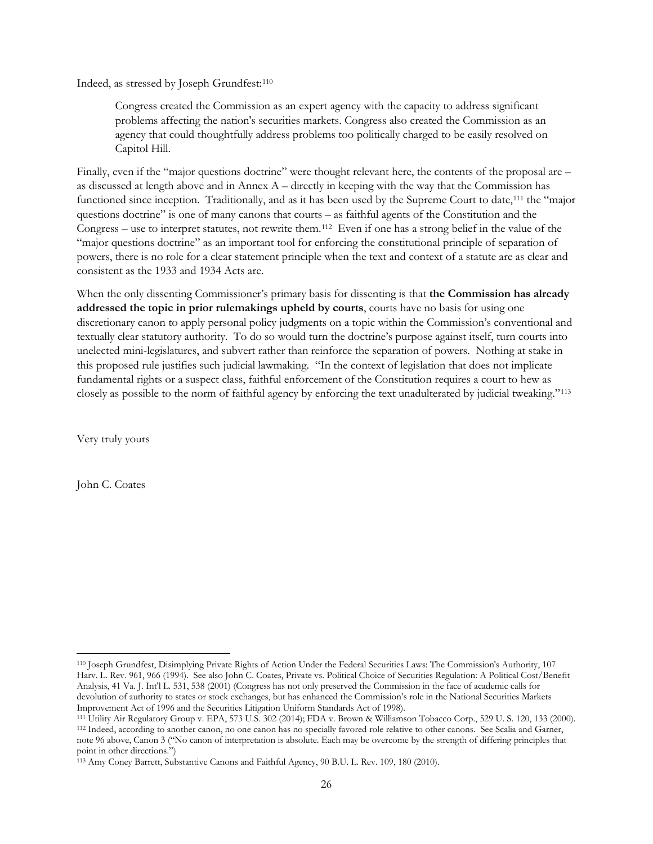Indeed, as stressed by Joseph Grundfest:[110](#page-25-0)

Congress created the Commission as an expert agency with the capacity to address significant problems affecting the nation's securities markets. Congress also created the Commission as an agency that could thoughtfully address problems too politically charged to be easily resolved on Capitol Hill.

Finally, even if the "major questions doctrine" were thought relevant here, the contents of the proposal are – as discussed at length above and in Annex A – directly in keeping with the way that the Commission has functioned since inception. Traditionally, and as it has been used by the Supreme Court to date,<sup>[111](#page-25-1)</sup> the "major questions doctrine" is one of many canons that courts – as faithful agents of the Constitution and the Congress – use to interpret statutes, not rewrite them.[112](#page-25-2) Even if one has a strong belief in the value of the "major questions doctrine" as an important tool for enforcing the constitutional principle of separation of powers, there is no role for a clear statement principle when the text and context of a statute are as clear and consistent as the 1933 and 1934 Acts are.

When the only dissenting Commissioner's primary basis for dissenting is that **the Commission has already addressed the topic in prior rulemakings upheld by courts**, courts have no basis for using one discretionary canon to apply personal policy judgments on a topic within the Commission's conventional and textually clear statutory authority. To do so would turn the doctrine's purpose against itself, turn courts into unelected mini-legislatures, and subvert rather than reinforce the separation of powers. Nothing at stake in this proposed rule justifies such judicial lawmaking. "In the context of legislation that does not implicate fundamental rights or a suspect class, faithful enforcement of the Constitution requires a court to hew as closely as possible to the norm of faithful agency by enforcing the text unadulterated by judicial tweaking."[113](#page-25-3)

Very truly yours

John C. Coates

<span id="page-25-0"></span> $\overline{\phantom{a}}$ <sup>110</sup> Joseph Grundfest, Disimplying Private Rights of Action Under the Federal Securities Laws: The Commission's Authority, 107 Harv. L. Rev. 961, 966 (1994). See also John C. Coates, Private vs. Political Choice of Securities Regulation: A Political Cost/Benefit Analysis, 41 Va. J. Int'l L. 531, 538 (2001) (Congress has not only preserved the Commission in the face of academic calls for devolution of authority to states or stock exchanges, but has enhanced the Commission's role in the National Securities Markets Improvement Act of 1996 and the Securities Litigation Uniform Standards Act of 1998).

<span id="page-25-2"></span><span id="page-25-1"></span><sup>111</sup> Utility Air Regulatory Group v. EPA, 573 U.S. 302 (2014); FDA v. Brown & Williamson Tobacco Corp., 529 U. S. 120, 133 (2000). <sup>112</sup> Indeed, according to another canon, no one canon has no specially favored role relative to other canons. See Scalia and Garner, note 96 above, Canon 3 ("No canon of interpretation is absolute. Each may be overcome by the strength of differing principles that point in other directions.")

<span id="page-25-3"></span><sup>113</sup> Amy Coney Barrett, Substantive Canons and Faithful Agency, 90 B.U. L. Rev. 109, 180 (2010).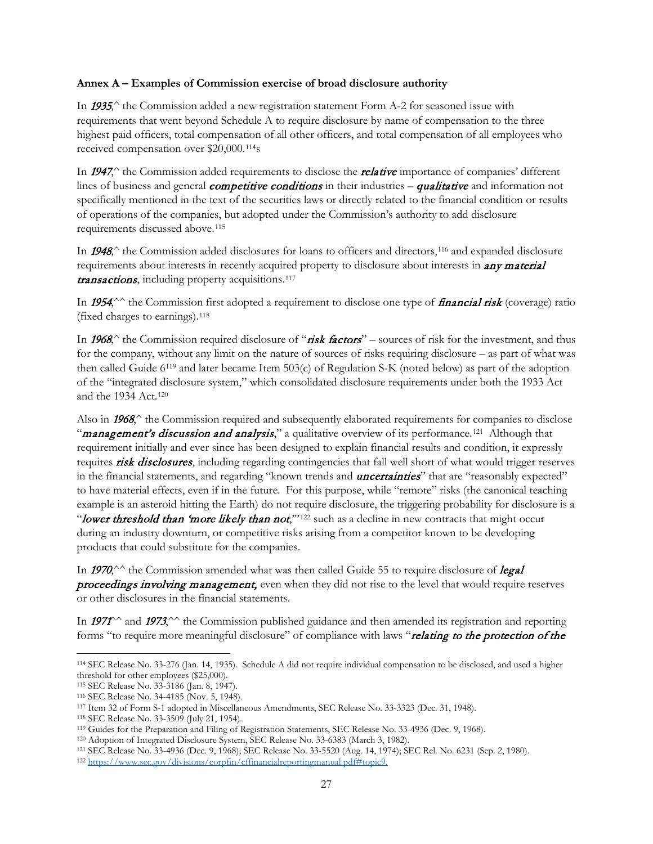### **Annex A – Examples of Commission exercise of broad disclosure authority**

In 1935, $\hat{ }$  the Commission added a new registration statement Form A-2 for seasoned issue with requirements that went beyond Schedule A to require disclosure by name of compensation to the three highest paid officers, total compensation of all other officers, and total compensation of all employees who received compensation over \$20,000.[114](#page-26-0)s

In 1947,<sup>^</sup> the Commission added requirements to disclose the *relative* importance of companies' different lines of business and general *competitive conditions* in their industries – **qualitative** and information not specifically mentioned in the text of the securities laws or directly related to the financial condition or results of operations of the companies, but adopted under the Commission's authority to add disclosure requirements discussed above.[115](#page-26-1)

In 1948,<sup> $\circ$ </sup> the Commission added disclosures for loans to officers and directors,<sup>[116](#page-26-2)</sup> and expanded disclosure requirements about interests in recently acquired property to disclosure about interests in **any material** transactions, including property acquisitions.<sup>[117](#page-26-3)</sup>

In 1954, $\wedge$  the Commission first adopted a requirement to disclose one type of *financial risk* (coverage) ratio (fixed charges to earnings).[118](#page-26-4)

In 1968, $\hat{ }$  the Commission required disclosure of "risk factors" – sources of risk for the investment, and thus for the company, without any limit on the nature of sources of risks requiring disclosure – as part of what was then called Guide 6[119](#page-26-5) and later became Item 503(c) of Regulation S-K (noted below) as part of the adoption of the "integrated disclosure system," which consolidated disclosure requirements under both the 1933 Act and the 1934 Act.[120](#page-26-6)

Also in 1968,<sup> $\land$ </sup> the Commission required and subsequently elaborated requirements for companies to disclose "management's discussion and analysis," a qualitative overview of its performance.<sup>[121](#page-26-7)</sup> Although that requirement initially and ever since has been designed to explain financial results and condition, it expressly requires risk disclosures, including regarding contingencies that fall well short of what would trigger reserves in the financial statements, and regarding "known trends and *uncertainties*" that are "reasonably expected" to have material effects, even if in the future. For this purpose, while "remote" risks (the canonical teaching example is an asteroid hitting the Earth) do not require disclosure, the triggering probability for disclosure is a "lower threshold than 'more likely than not,"<sup>[122](#page-26-8)</sup> such as a decline in new contracts that might occur during an industry downturn, or competitive risks arising from a competitor known to be developing products that could substitute for the companies.

In 1970,  $\sim$  the Commission amended what was then called Guide 55 to require disclosure of *legal* **proceedings involving management**, even when they did not rise to the level that would require reserves or other disclosures in the financial statements.

In 1971 $\gamma$  and 1973, $\gamma$  the Commission published guidance and then amended its registration and reporting forms "to require more meaningful disclosure" of compliance with laws "relating to the protection of the

<span id="page-26-0"></span> $\overline{\phantom{a}}$ <sup>114</sup> SEC Release No. 33-276 (Jan. 14, 1935). Schedule A did not require individual compensation to be disclosed, and used a higher threshold for other employees (\$25,000).

<span id="page-26-2"></span><span id="page-26-1"></span><sup>115</sup> SEC Release No. 33-3186 (Jan. 8, 1947). 116 SEC Release No. 34-4185 (Nov. 5, 1948).

<span id="page-26-4"></span><span id="page-26-3"></span><sup>117</sup> Item 32 of Form S-1 adopted in Miscellaneous Amendments, SEC Release No. 33-3323 (Dec. 31, 1948).

<span id="page-26-5"></span><sup>&</sup>lt;sup>118</sup> SEC Release No. 33-3509 (July 21, 1954).<br><sup>119</sup> Guides for the Preparation and Filing of Registration Statements, SEC Release No. 33-4936 (Dec. 9, 1968).

<span id="page-26-8"></span><span id="page-26-7"></span><span id="page-26-6"></span><sup>&</sup>lt;sup>120</sup> Adoption of Integrated Disclosure System, SEC Release No. 33-6383 (March 3, 1982).<br><sup>121</sup> SEC Release No. 33-4936 (Dec. 9, 1968); SEC Release No. 33-5520 (Aug. 14, 1974); SEC Rel. No. 6231 (Sep. 2, 1980).<br><sup>122</sup> https: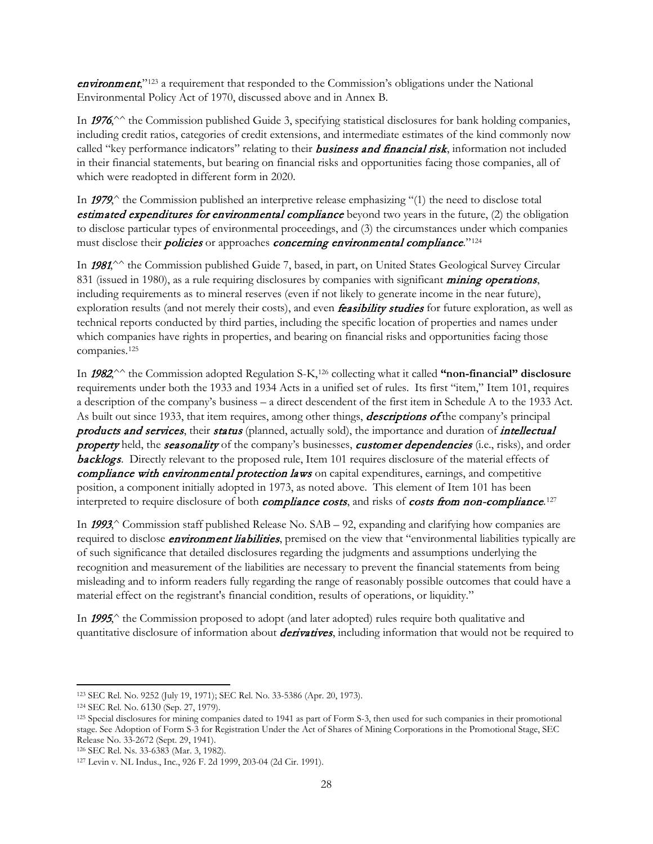**environment**,"<sup>[123](#page-27-0)</sup> a requirement that responded to the Commission's obligations under the National Environmental Policy Act of 1970, discussed above and in Annex B.

In 1976,<sup>^^</sup> the Commission published Guide 3, specifying statistical disclosures for bank holding companies, including credit ratios, categories of credit extensions, and intermediate estimates of the kind commonly now called "key performance indicators" relating to their **business and financial risk**, information not included in their financial statements, but bearing on financial risks and opportunities facing those companies, all of which were readopted in different form in 2020.

In 1979, $\uparrow$  the Commission published an interpretive release emphasizing "(1) the need to disclose total **estimated expenditures for environmental compliance** beyond two years in the future,  $(2)$  the obligation to disclose particular types of environmental proceedings, and (3) the circumstances under which companies must disclose their *policies* or approaches *concerning environmental compliance*."<sup>[124](#page-27-1)</sup>

In 1981,<sup> $\sim$ </sup> the Commission published Guide 7, based, in part, on United States Geological Survey Circular 831 (issued in 1980), as a rule requiring disclosures by companies with significant *mining operations*, including requirements as to mineral reserves (even if not likely to generate income in the near future), exploration results (and not merely their costs), and even *feasibility studies* for future exploration, as well as technical reports conducted by third parties, including the specific location of properties and names under which companies have rights in properties, and bearing on financial risks and opportunities facing those companies[.125](#page-27-2)

In 1982,^^ the Commission adopted Regulation S-K[,126](#page-27-3) collecting what it called **"non-financial" disclosure** requirements under both the 1933 and 1934 Acts in a unified set of rules. Its first "item," Item 101, requires a description of the company's business – a direct descendent of the first item in Schedule A to the 1933 Act. As built out since 1933, that item requires, among other things, **descriptions of** the company's principal products and services, their status (planned, actually sold), the importance and duration of intellectual property held, the seasonality of the company's businesses, customer dependencies (i.e., risks), and order **backlogs**. Directly relevant to the proposed rule, Item 101 requires disclosure of the material effects of compliance with environmental protection laws on capital expenditures, earnings, and competitive position, a component initially adopted in 1973, as noted above. This element of Item 101 has been interpreted to require disclosure of both *compliance costs*, and risks of *costs from non-compliance*.<sup>[127](#page-27-4)</sup>

In  $1993^{\circ}$  Commission staff published Release No. SAB – 92, expanding and clarifying how companies are required to disclose *environment liabilities*, premised on the view that "environmental liabilities typically are of such significance that detailed disclosures regarding the judgments and assumptions underlying the recognition and measurement of the liabilities are necessary to prevent the financial statements from being misleading and to inform readers fully regarding the range of reasonably possible outcomes that could have a material effect on the registrant's financial condition, results of operations, or liquidity."

In 1995, the Commission proposed to adopt (and later adopted) rules require both qualitative and quantitative disclosure of information about *derivatives*, including information that would not be required to

<span id="page-27-0"></span> $\overline{\phantom{a}}$ <sup>123</sup> SEC Rel. No. 9252 (July 19, 1971); SEC Rel. No. 33-5386 (Apr. 20, 1973).

<span id="page-27-1"></span><sup>124</sup> SEC Rel. No. 6130 (Sep. 27, 1979).

<span id="page-27-2"></span><sup>125</sup> Special disclosures for mining companies dated to 1941 as part of Form S-3, then used for such companies in their promotional stage. See Adoption of Form S-3 for Registration Under the Act of Shares of Mining Corporations in the Promotional Stage, SEC Release No. 33-2672 (Sept. 29, 1941).

<span id="page-27-3"></span><sup>126</sup> SEC Rel. Ns. 33-6383 (Mar. 3, 1982).

<span id="page-27-4"></span><sup>127</sup> Levin v. NL Indus., Inc., 926 F. 2d 1999, 203-04 (2d Cir. 1991).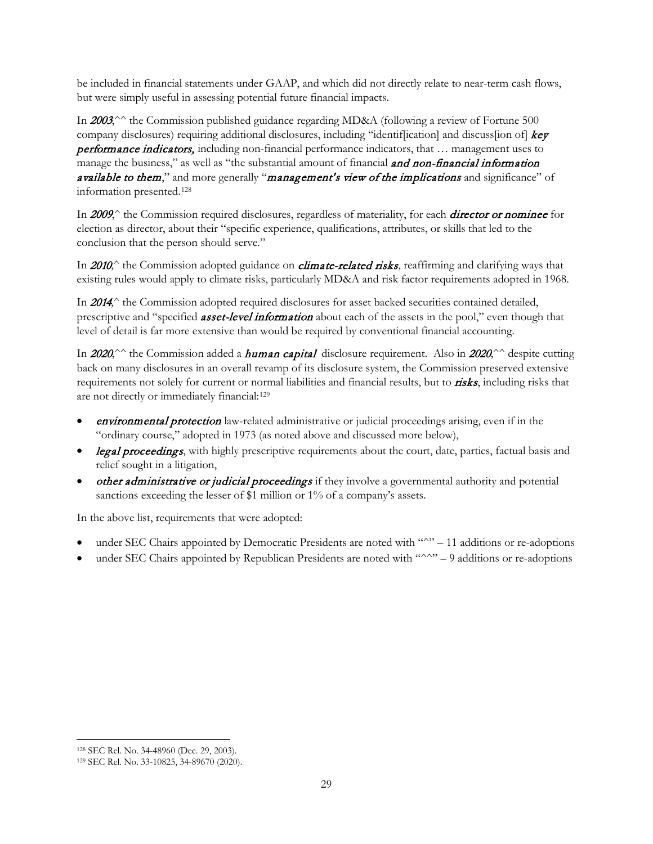be included in financial statements under GAAP, and which did not directly relate to near-term cash flows, but were simply useful in assessing potential future financial impacts.

In 2003,<sup>^^</sup> the Commission published guidance regarding MD&A (following a review of Fortune 500 company disclosures) requiring additional disclosures, including "identification] and discuss[ion of] key **performance indicators,** including non-financial performance indicators, that ... management uses to manage the business," as well as "the substantial amount of financial and non-financial information available to them," and more generally "management's view of the implications and significance" of information presented.[128](#page-28-0)

In 2009,<sup> $\land$ </sup> the Commission required disclosures, regardless of materiality, for each **director or nominee** for election as director, about their "specific experience, qualifications, attributes, or skills that led to the conclusion that the person should serve."

In 2010, $\gamma$  the Commission adopted guidance on *climate-related risks*, reaffirming and clarifying ways that existing rules would apply to climate risks, particularly MD&A and risk factor requirements adopted in 1968.

In 2014,<sup> $\land$ </sup> the Commission adopted required disclosures for asset backed securities contained detailed, prescriptive and "specified **asset-level information** about each of the assets in the pool," even though that level of detail is far more extensive than would be required by conventional financial accounting.

In 2020,<sup> $\sim$ </sup> the Commission added a **human capital** disclosure requirement. Also in 2020, $\sim$  despite cutting back on many disclosures in an overall revamp of its disclosure system, the Commission preserved extensive requirements not solely for current or normal liabilities and financial results, but to **risks**, including risks that are not directly or immediately financial[:129](#page-28-1)

- **environmental protection** law-related administrative or judicial proceedings arising, even if in the "ordinary course," adopted in 1973 (as noted above and discussed more below),
- legal proceedings, with highly prescriptive requirements about the court, date, parties, factual basis and relief sought in a litigation,
- other administrative or judicial proceedings if they involve a governmental authority and potential sanctions exceeding the lesser of \$1 million or 1% of a company's assets.

In the above list, requirements that were adopted:

- under SEC Chairs appointed by Democratic Presidents are noted with "^" 11 additions or re-adoptions
- under SEC Chairs appointed by Republican Presidents are noted with "^^" 9 additions or re-adoptions

<span id="page-28-0"></span><sup>128</sup> SEC Rel. No. 34-48960 (Dec. 29, 2003).

<span id="page-28-1"></span><sup>129</sup> SEC Rel. No. 33-10825, 34-89670 (2020).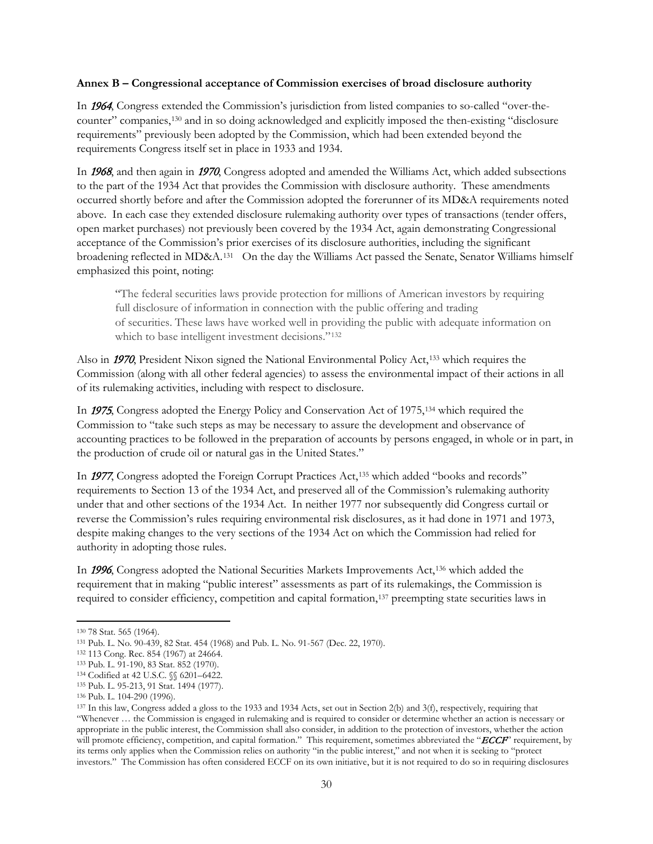### **Annex B – Congressional acceptance of Commission exercises of broad disclosure authority**

In 1964, Congress extended the Commission's jurisdiction from listed companies to so-called "over-thecounter" companies,[130](#page-29-0) and in so doing acknowledged and explicitly imposed the then-existing "disclosure requirements" previously been adopted by the Commission, which had been extended beyond the requirements Congress itself set in place in 1933 and 1934.

In 1968, and then again in 1970, Congress adopted and amended the Williams Act, which added subsections to the part of the 1934 Act that provides the Commission with disclosure authority. These amendments occurred shortly before and after the Commission adopted the forerunner of its MD&A requirements noted above. In each case they extended disclosure rulemaking authority over types of transactions (tender offers, open market purchases) not previously been covered by the 1934 Act, again demonstrating Congressional acceptance of the Commission's prior exercises of its disclosure authorities, including the significant broadening reflected in MD&A.[131](#page-29-1) On the day the Williams Act passed the Senate, Senator Williams himself emphasized this point, noting:

"The federal securities laws provide protection for millions of American investors by requiring full disclosure of information in connection with the public offering and trading of securities. These laws have worked well in providing the public with adequate information on which to base intelligent investment decisions."<sup>[132](#page-29-2)</sup>

Also in 1970, President Nixon signed the National Environmental Policy Act[,133](#page-29-3) which requires the Commission (along with all other federal agencies) to assess the environmental impact of their actions in all of its rulemaking activities, including with respect to disclosure.

In 1975, Congress adopted the Energy Policy and Conservation Act of 1975,[134](#page-29-4) which required the Commission to "take such steps as may be necessary to assure the development and observance of accounting practices to be followed in the preparation of accounts by persons engaged, in whole or in part, in the production of crude oil or natural gas in the United States."

In 1977, Congress adopted the Foreign Corrupt Practices Act,[135](#page-29-5) which added "books and records" requirements to Section 13 of the 1934 Act, and preserved all of the Commission's rulemaking authority under that and other sections of the 1934 Act. In neither 1977 nor subsequently did Congress curtail or reverse the Commission's rules requiring environmental risk disclosures, as it had done in 1971 and 1973, despite making changes to the very sections of the 1934 Act on which the Commission had relied for authority in adopting those rules.

In 1996, Congress adopted the National Securities Markets Improvements Act[,136](#page-29-6) which added the requirement that in making "public interest" assessments as part of its rulemakings, the Commission is required to consider efficiency, competition and capital formation,[137](#page-29-7) preempting state securities laws in

 $\overline{\phantom{a}}$ <sup>130</sup> 78 Stat. 565 (1964).

<span id="page-29-1"></span><span id="page-29-0"></span><sup>131</sup> Pub. L. No. 90-439, 82 Stat. 454 (1968) and Pub. L. No. 91-567 (Dec. 22, 1970).

<span id="page-29-3"></span><span id="page-29-2"></span><sup>132</sup> 113 Cong. Rec. 854 (1967) at 24664.

<sup>133</sup> Pub. L. 91-190, 83 Stat. 852 (1970).

<span id="page-29-4"></span><sup>134</sup> Codified at 42 U.S.C. §§ 6201-6422.

<span id="page-29-5"></span><sup>135</sup> Pub. L. 95-213, 91 Stat. 1494 (1977).

<span id="page-29-6"></span><sup>136</sup> Pub. L. 104-290 (1996).

<span id="page-29-7"></span><sup>137</sup> In this law, Congress added a gloss to the 1933 and 1934 Acts, set out in Section 2(b) and 3(f), respectively, requiring that "Whenever … the Commission is engaged in rulemaking and is required to consider or determine whether an action is necessary or appropriate in the public interest, the Commission shall also consider, in addition to the protection of investors, whether the action will promote efficiency, competition, and capital formation." This requirement, sometimes abbreviated the "ECCF" requirement, by its terms only applies when the Commission relies on authority "in the public interest," and not when it is seeking to "protect investors." The Commission has often considered ECCF on its own initiative, but it is not required to do so in requiring disclosures